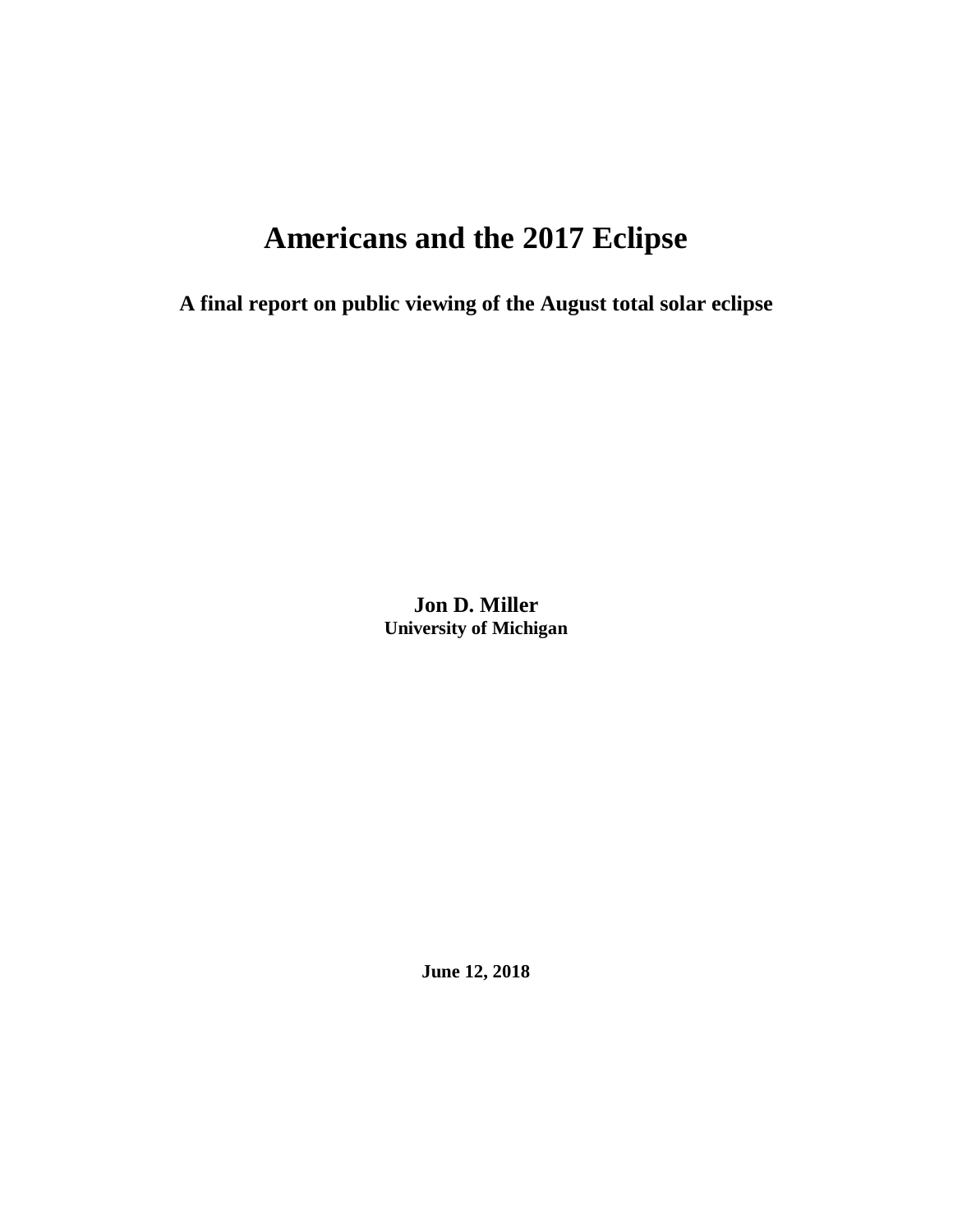# **Americans and the 2017 Eclipse**

**A final report on public viewing of the August total solar eclipse**

**Jon D. Miller University of Michigan**

**June 12, 2018**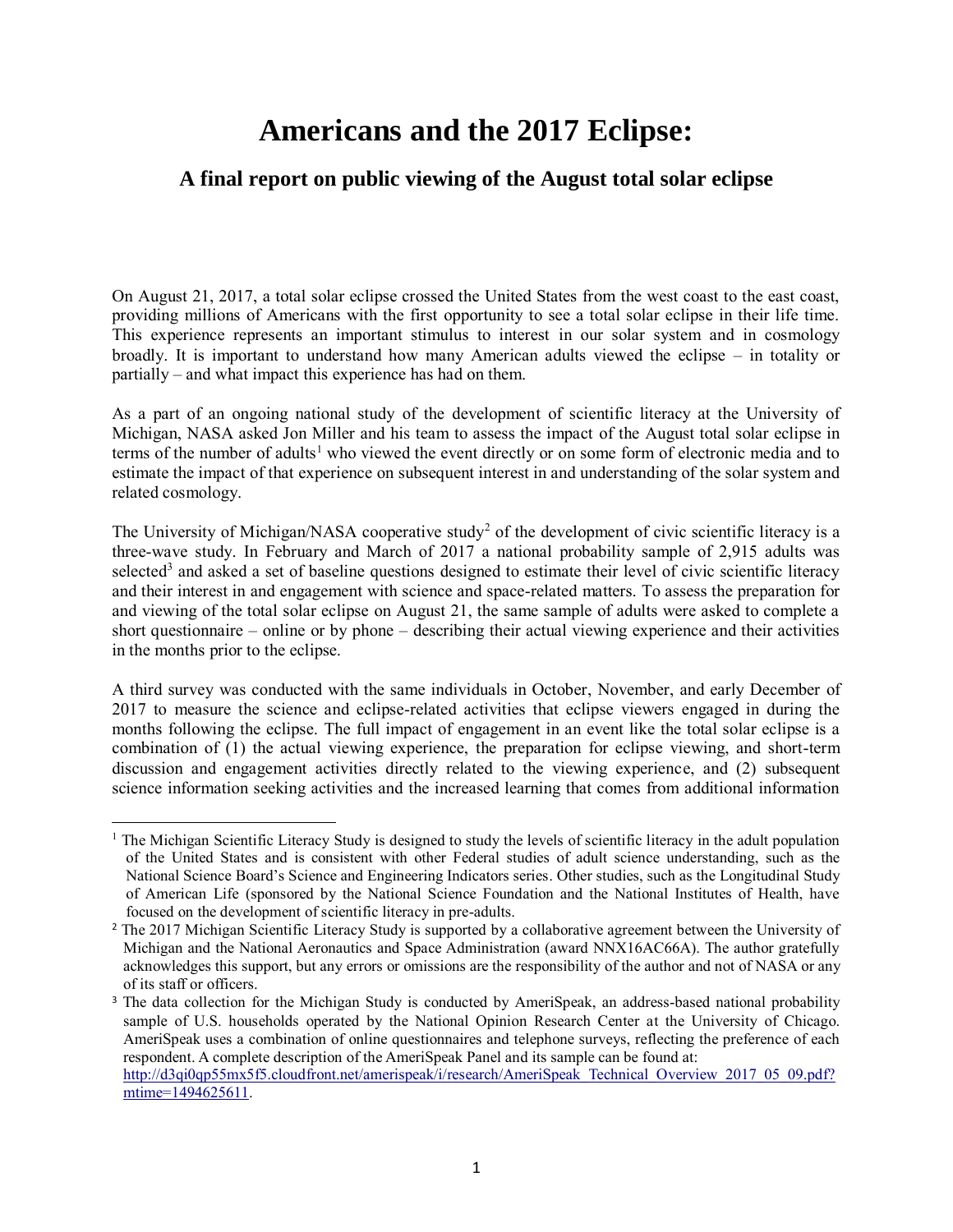## **Americans and the 2017 Eclipse:**

## **A final report on public viewing of the August total solar eclipse**

On August 21, 2017, a total solar eclipse crossed the United States from the west coast to the east coast, providing millions of Americans with the first opportunity to see a total solar eclipse in their life time. This experience represents an important stimulus to interest in our solar system and in cosmology broadly. It is important to understand how many American adults viewed the eclipse – in totality or partially – and what impact this experience has had on them.

As a part of an ongoing national study of the development of scientific literacy at the University of Michigan, NASA asked Jon Miller and his team to assess the impact of the August total solar eclipse in terms of the number of adults<sup>1</sup> who viewed the event directly or on some form of electronic media and to estimate the impact of that experience on subsequent interest in and understanding of the solar system and related cosmology.

The University of Michigan/NASA cooperative study<sup>2</sup> of the development of civic scientific literacy is a three-wave study. In February and March of 2017 a national probability sample of 2,915 adults was selected<sup>3</sup> and asked a set of baseline questions designed to estimate their level of civic scientific literacy and their interest in and engagement with science and space-related matters. To assess the preparation for and viewing of the total solar eclipse on August 21, the same sample of adults were asked to complete a short questionnaire – online or by phone – describing their actual viewing experience and their activities in the months prior to the eclipse.

A third survey was conducted with the same individuals in October, November, and early December of 2017 to measure the science and eclipse-related activities that eclipse viewers engaged in during the months following the eclipse. The full impact of engagement in an event like the total solar eclipse is a combination of (1) the actual viewing experience, the preparation for eclipse viewing, and short-term discussion and engagement activities directly related to the viewing experience, and (2) subsequent science information seeking activities and the increased learning that comes from additional information

 $\overline{a}$ 

<sup>&</sup>lt;sup>1</sup> The Michigan Scientific Literacy Study is designed to study the levels of scientific literacy in the adult population of the United States and is consistent with other Federal studies of adult science understanding, such as the National Science Board's Science and Engineering Indicators series. Other studies, such as the Longitudinal Study of American Life (sponsored by the National Science Foundation and the National Institutes of Health, have focused on the development of scientific literacy in pre-adults.

<sup>&</sup>lt;sup>2</sup> The 2017 Michigan Scientific Literacy Study is supported by a collaborative agreement between the University of Michigan and the National Aeronautics and Space Administration (award NNX16AC66A). The author gratefully acknowledges this support, but any errors or omissions are the responsibility of the author and not of NASA or any of its staff or officers.

<sup>&</sup>lt;sup>3</sup> The data collection for the Michigan Study is conducted by AmeriSpeak, an address-based national probability sample of U.S. households operated by the National Opinion Research Center at the University of Chicago. AmeriSpeak uses a combination of online questionnaires and telephone surveys, reflecting the preference of each respondent. A complete description of the AmeriSpeak Panel and its sample can be found at: [http://d3qi0qp55mx5f5.cloudfront.net/amerispeak/i/research/AmeriSpeak\\_Technical\\_Overview\\_2017\\_05\\_09.pdf?](http://d3qi0qp55mx5f5.cloudfront.net/amerispeak/i/research/AmeriSpeak_Technical_Overview_2017_05_09.pdf?mtime=1494625611)

[mtime=1494625611.](http://d3qi0qp55mx5f5.cloudfront.net/amerispeak/i/research/AmeriSpeak_Technical_Overview_2017_05_09.pdf?mtime=1494625611)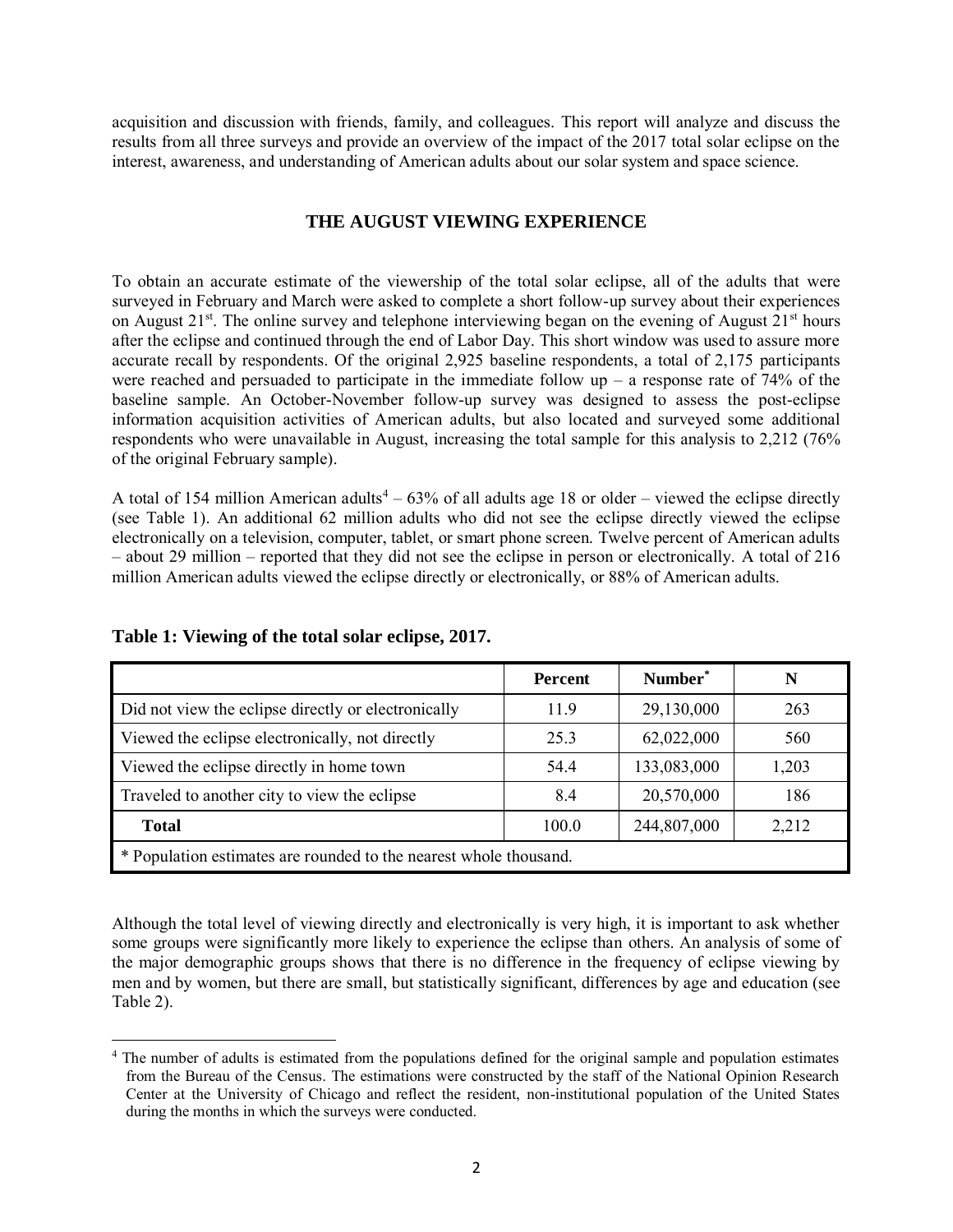acquisition and discussion with friends, family, and colleagues. This report will analyze and discuss the results from all three surveys and provide an overview of the impact of the 2017 total solar eclipse on the interest, awareness, and understanding of American adults about our solar system and space science.

### **THE AUGUST VIEWING EXPERIENCE**

To obtain an accurate estimate of the viewership of the total solar eclipse, all of the adults that were surveyed in February and March were asked to complete a short follow-up survey about their experiences on August  $21^{st}$ . The online survey and telephone interviewing began on the evening of August  $21^{st}$  hours after the eclipse and continued through the end of Labor Day. This short window was used to assure more accurate recall by respondents. Of the original 2,925 baseline respondents, a total of 2,175 participants were reached and persuaded to participate in the immediate follow up – a response rate of  $74\%$  of the baseline sample. An October-November follow-up survey was designed to assess the post-eclipse information acquisition activities of American adults, but also located and surveyed some additional respondents who were unavailable in August, increasing the total sample for this analysis to 2,212 (76% of the original February sample).

A total of 154 million American adults<sup>4</sup> – 63% of all adults age 18 or older – viewed the eclipse directly (see Table 1). An additional 62 million adults who did not see the eclipse directly viewed the eclipse electronically on a television, computer, tablet, or smart phone screen. Twelve percent of American adults – about 29 million – reported that they did not see the eclipse in person or electronically. A total of 216 million American adults viewed the eclipse directly or electronically, or 88% of American adults.

|                                                                   | <b>Percent</b> | Number <sup>*</sup> |       |
|-------------------------------------------------------------------|----------------|---------------------|-------|
| Did not view the eclipse directly or electronically               | 119            | 29,130,000          | 263   |
| Viewed the eclipse electronically, not directly                   | 25.3           | 62,022,000          | 560   |
| Viewed the eclipse directly in home town                          | 54.4           | 133,083,000         | 1,203 |
| Traveled to another city to view the eclipse                      | 8.4            | 20,570,000          | 186   |
| <b>Total</b>                                                      | 100.0          | 244,807,000         | 2,212 |
| * Population estimates are rounded to the nearest whole thousand. |                |                     |       |

**Table 1: Viewing of the total solar eclipse, 2017.**

 $\overline{\phantom{0}}$ 

Although the total level of viewing directly and electronically is very high, it is important to ask whether some groups were significantly more likely to experience the eclipse than others. An analysis of some of the major demographic groups shows that there is no difference in the frequency of eclipse viewing by men and by women, but there are small, but statistically significant, differences by age and education (see Table 2).

<sup>&</sup>lt;sup>4</sup> The number of adults is estimated from the populations defined for the original sample and population estimates from the Bureau of the Census. The estimations were constructed by the staff of the National Opinion Research Center at the University of Chicago and reflect the resident, non-institutional population of the United States during the months in which the surveys were conducted.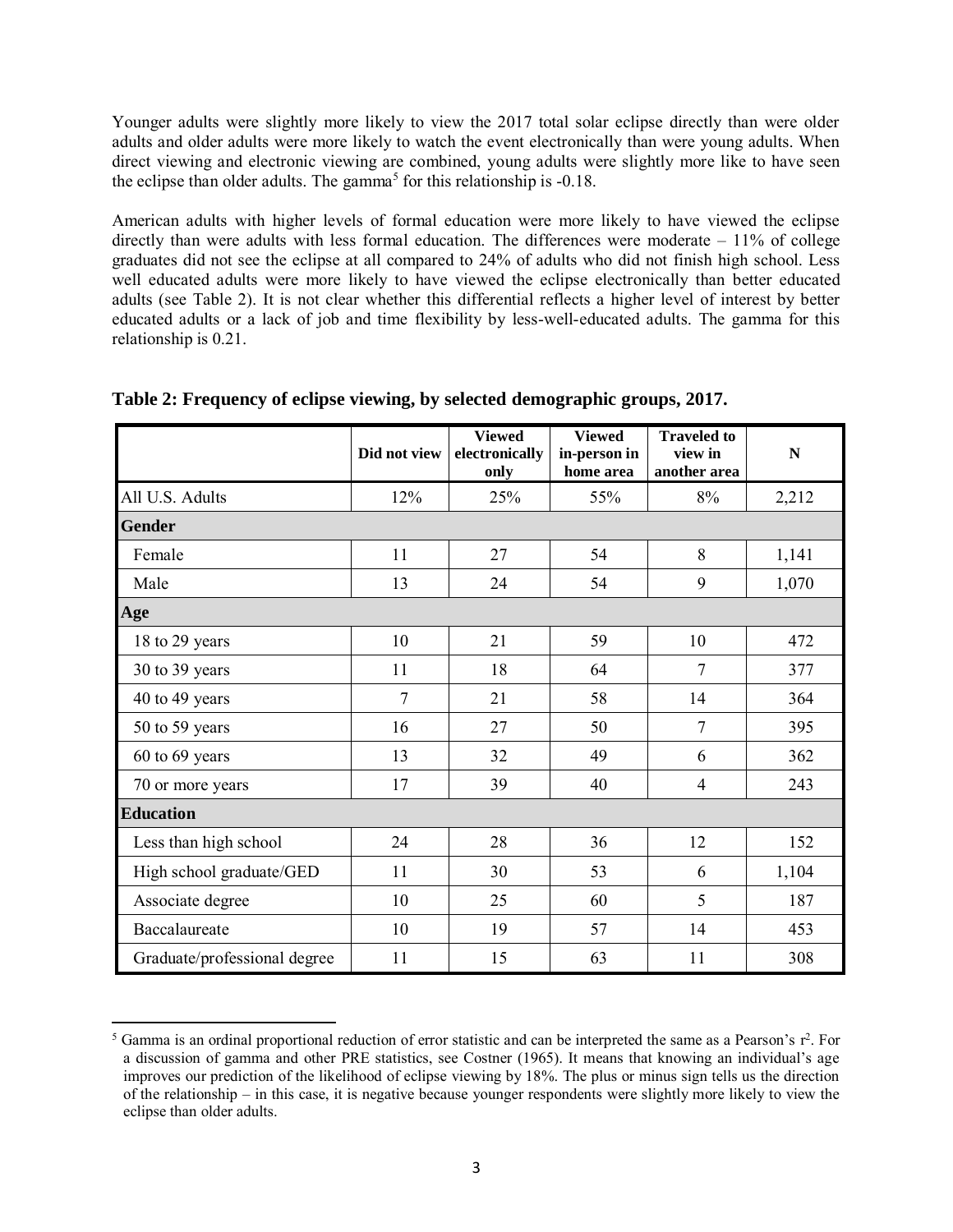Younger adults were slightly more likely to view the 2017 total solar eclipse directly than were older adults and older adults were more likely to watch the event electronically than were young adults. When direct viewing and electronic viewing are combined, young adults were slightly more like to have seen the eclipse than older adults. The gamma<sup>5</sup> for this relationship is  $-0.18$ .

American adults with higher levels of formal education were more likely to have viewed the eclipse directly than were adults with less formal education. The differences were moderate – 11% of college graduates did not see the eclipse at all compared to 24% of adults who did not finish high school. Less well educated adults were more likely to have viewed the eclipse electronically than better educated adults (see Table 2). It is not clear whether this differential reflects a higher level of interest by better educated adults or a lack of job and time flexibility by less-well-educated adults. The gamma for this relationship is 0.21.

|                              | Did not view | <b>Viewed</b><br>electronically<br>only | <b>Viewed</b><br>in-person in<br>home area | <b>Traveled to</b><br>view in<br>another area | $\mathbf N$ |
|------------------------------|--------------|-----------------------------------------|--------------------------------------------|-----------------------------------------------|-------------|
| All U.S. Adults              | 12%          | 25%                                     | 55%                                        | 8%                                            | 2,212       |
| <b>Gender</b>                |              |                                         |                                            |                                               |             |
| Female                       | 11           | 27                                      | 54                                         | 8                                             | 1,141       |
| Male                         | 13           | 24                                      | 54                                         | 9                                             | 1,070       |
| Age                          |              |                                         |                                            |                                               |             |
| 18 to 29 years               | 10           | 21                                      | 59                                         | 10                                            | 472         |
| 30 to 39 years               | 11           | 18                                      | 64                                         | 7                                             | 377         |
| 40 to 49 years               | 7            | 21                                      | 58                                         | 14                                            | 364         |
| 50 to 59 years               | 16           | 27                                      | 50                                         | $\overline{7}$                                | 395         |
| 60 to 69 years               | 13           | 32                                      | 49                                         | 6                                             | 362         |
| 70 or more years             | 17           | 39                                      | 40                                         | $\overline{4}$                                | 243         |
| <b>Education</b>             |              |                                         |                                            |                                               |             |
| Less than high school        | 24           | 28                                      | 36                                         | 12                                            | 152         |
| High school graduate/GED     | 11           | 30                                      | 53                                         | 6                                             | 1,104       |
| Associate degree             | 10           | 25                                      | 60                                         | 5                                             | 187         |
| Baccalaureate                | 10           | 19                                      | 57                                         | 14                                            | 453         |
| Graduate/professional degree | 11           | 15                                      | 63                                         | 11                                            | 308         |

|  |  | Table 2: Frequency of eclipse viewing, by selected demographic groups, 2017. |  |
|--|--|------------------------------------------------------------------------------|--|
|  |  |                                                                              |  |

l

 $5$  Gamma is an ordinal proportional reduction of error statistic and can be interpreted the same as a Pearson's  $r^2$ . For a discussion of gamma and other PRE statistics, see Costner (1965). It means that knowing an individual's age improves our prediction of the likelihood of eclipse viewing by 18%. The plus or minus sign tells us the direction of the relationship – in this case, it is negative because younger respondents were slightly more likely to view the eclipse than older adults.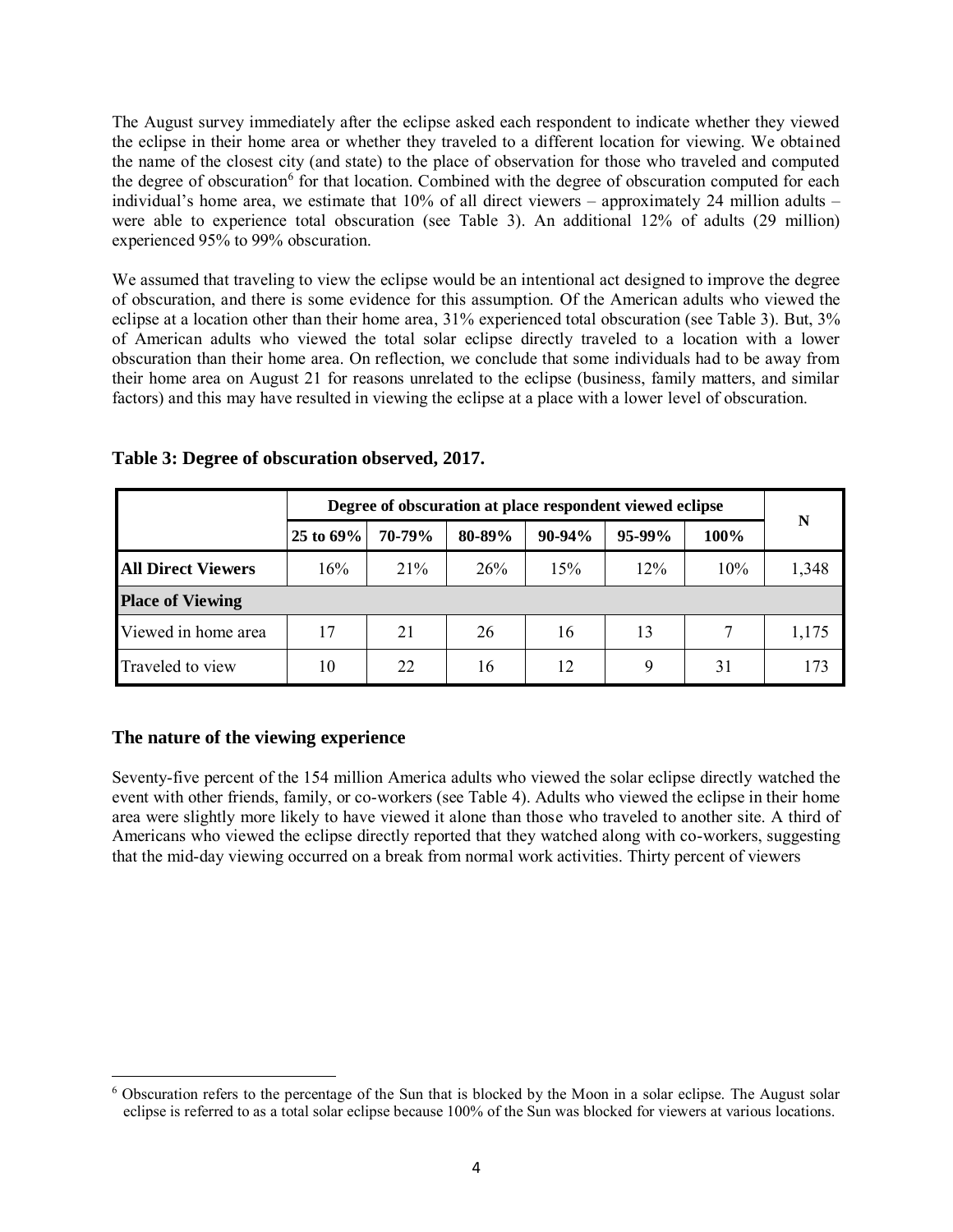The August survey immediately after the eclipse asked each respondent to indicate whether they viewed the eclipse in their home area or whether they traveled to a different location for viewing. We obtained the name of the closest city (and state) to the place of observation for those who traveled and computed the degree of obscuration<sup>6</sup> for that location. Combined with the degree of obscuration computed for each individual's home area, we estimate that  $10\%$  of all direct viewers – approximately 24 million adults – were able to experience total obscuration (see Table 3). An additional 12% of adults (29 million) experienced 95% to 99% obscuration.

We assumed that traveling to view the eclipse would be an intentional act designed to improve the degree of obscuration, and there is some evidence for this assumption. Of the American adults who viewed the eclipse at a location other than their home area, 31% experienced total obscuration (see Table 3). But, 3% of American adults who viewed the total solar eclipse directly traveled to a location with a lower obscuration than their home area. On reflection, we conclude that some individuals had to be away from their home area on August 21 for reasons unrelated to the eclipse (business, family matters, and similar factors) and this may have resulted in viewing the eclipse at a place with a lower level of obscuration.

|                           |           | Degree of obscuration at place respondent viewed eclipse |        |          |          |      |       |  |  |
|---------------------------|-----------|----------------------------------------------------------|--------|----------|----------|------|-------|--|--|
|                           | 25 to 69% | 70-79%                                                   | 80-89% | $90-94%$ | $95-99%$ | 100% | N     |  |  |
| <b>All Direct Viewers</b> | 16%       | 21%                                                      | 26%    | 15%      | 12%      | 10%  | 1,348 |  |  |
| <b>Place of Viewing</b>   |           |                                                          |        |          |          |      |       |  |  |
| Viewed in home area       | 17        | 21                                                       | 26     | 16       | 13       |      | 1,175 |  |  |
| Traveled to view          | 10        | 22                                                       | 16     | 12       | 9        | 31   | 173   |  |  |

**Table 3: Degree of obscuration observed, 2017.**

## **The nature of the viewing experience**

 $\overline{a}$ 

Seventy-five percent of the 154 million America adults who viewed the solar eclipse directly watched the event with other friends, family, or co-workers (see Table 4). Adults who viewed the eclipse in their home area were slightly more likely to have viewed it alone than those who traveled to another site. A third of Americans who viewed the eclipse directly reported that they watched along with co-workers, suggesting that the mid-day viewing occurred on a break from normal work activities. Thirty percent of viewers

<sup>6</sup> Obscuration refers to the percentage of the Sun that is blocked by the Moon in a solar eclipse. The August solar eclipse is referred to as a total solar eclipse because 100% of the Sun was blocked for viewers at various locations.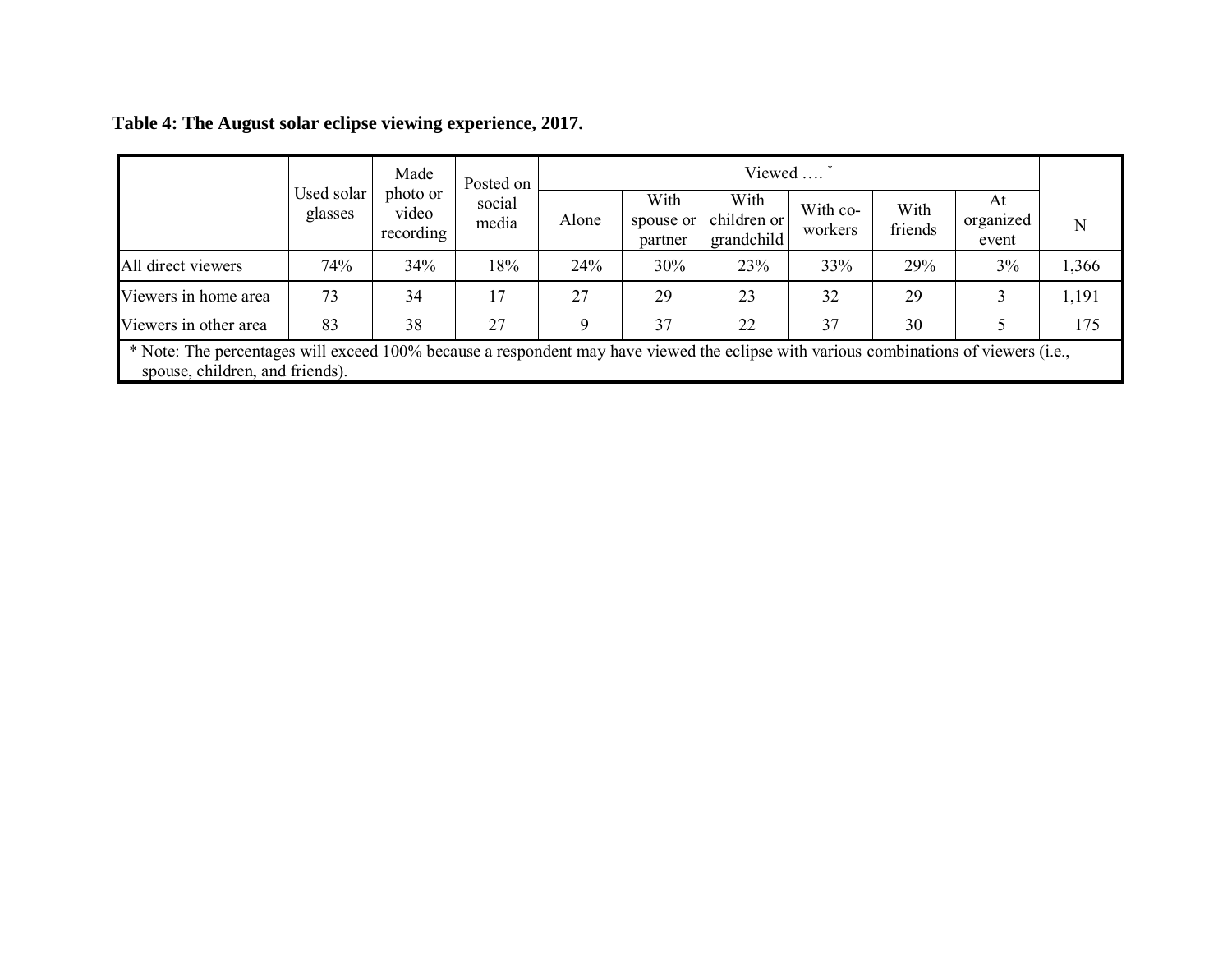|                       |                                                                                                                                                                          | Made                           | Posted on       | Viewed |                              |                                   |                     |                 |                          |       |
|-----------------------|--------------------------------------------------------------------------------------------------------------------------------------------------------------------------|--------------------------------|-----------------|--------|------------------------------|-----------------------------------|---------------------|-----------------|--------------------------|-------|
|                       | Used solar<br>glasses                                                                                                                                                    | photo or<br>video<br>recording | social<br>media | Alone  | With<br>spouse or<br>partner | With<br>children or<br>grandchild | With co-<br>workers | With<br>friends | At<br>organized<br>event | N     |
| All direct viewers    | 74%                                                                                                                                                                      | 34%                            | 18%             | 24%    | 30%                          | 23%                               | 33%                 | 29%             | 3%                       | 1,366 |
| Viewers in home area  | 73                                                                                                                                                                       | 34                             | 17              | 27     | 29                           | 23                                | 32                  | 29              |                          | 1,191 |
| Viewers in other area | 83                                                                                                                                                                       | 38                             | 27              | Q      | 37                           | 22                                | 37                  | 30              |                          | 175   |
|                       | * Note: The percentages will exceed 100% because a respondent may have viewed the eclipse with various combinations of viewers (i.e.,<br>spouse, children, and friends). |                                |                 |        |                              |                                   |                     |                 |                          |       |

**Table 4: The August solar eclipse viewing experience, 2017.**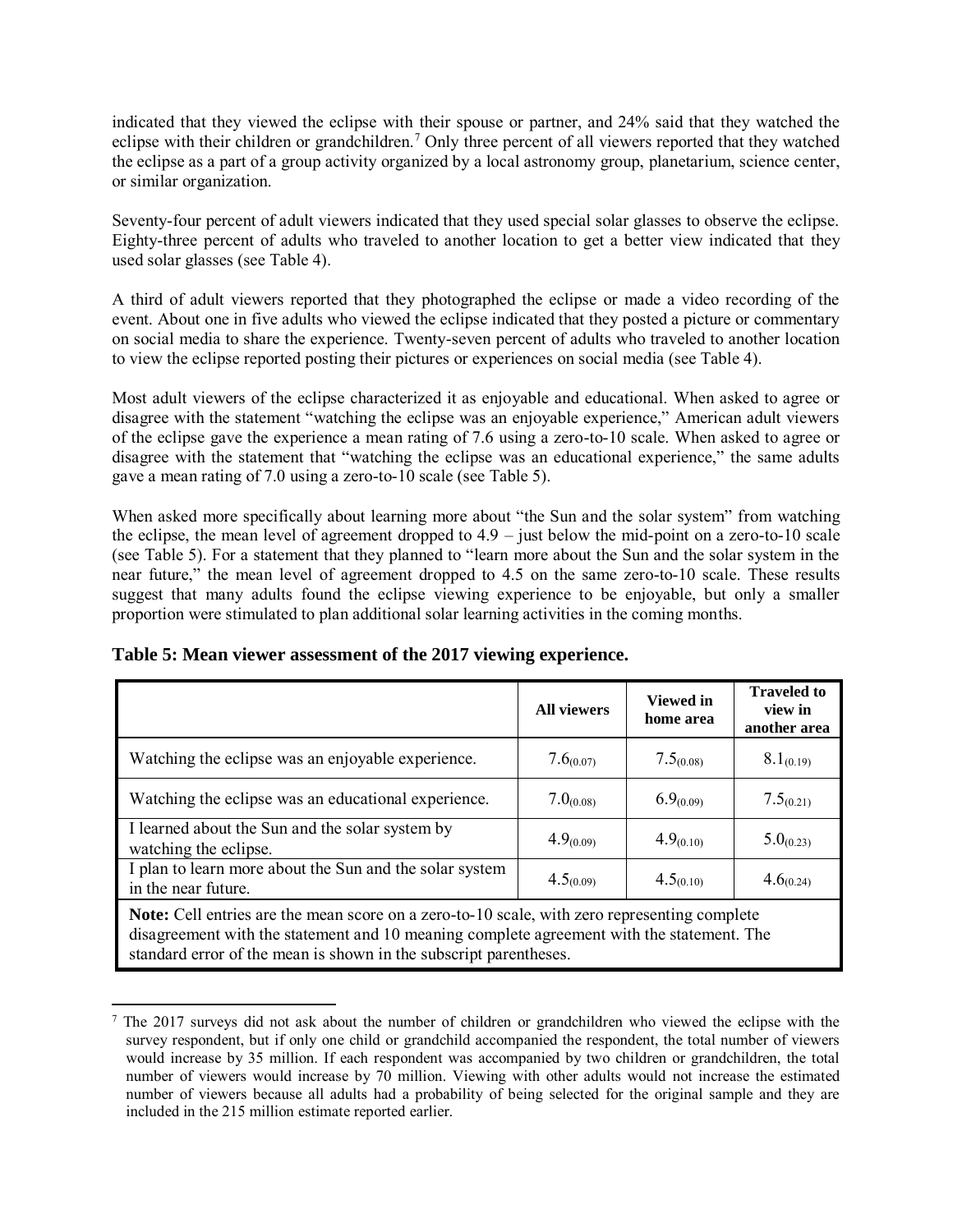indicated that they viewed the eclipse with their spouse or partner, and 24% said that they watched the eclipse with their children or grandchildren.<sup>7</sup> Only three percent of all viewers reported that they watched the eclipse as a part of a group activity organized by a local astronomy group, planetarium, science center, or similar organization.

Seventy-four percent of adult viewers indicated that they used special solar glasses to observe the eclipse. Eighty-three percent of adults who traveled to another location to get a better view indicated that they used solar glasses (see Table 4).

A third of adult viewers reported that they photographed the eclipse or made a video recording of the event. About one in five adults who viewed the eclipse indicated that they posted a picture or commentary on social media to share the experience. Twenty-seven percent of adults who traveled to another location to view the eclipse reported posting their pictures or experiences on social media (see Table 4).

Most adult viewers of the eclipse characterized it as enjoyable and educational. When asked to agree or disagree with the statement "watching the eclipse was an enjoyable experience," American adult viewers of the eclipse gave the experience a mean rating of 7.6 using a zero-to-10 scale. When asked to agree or disagree with the statement that "watching the eclipse was an educational experience," the same adults gave a mean rating of 7.0 using a zero-to-10 scale (see Table 5).

When asked more specifically about learning more about "the Sun and the solar system" from watching the eclipse, the mean level of agreement dropped to 4.9 – just below the mid-point on a zero-to-10 scale (see Table 5). For a statement that they planned to "learn more about the Sun and the solar system in the near future," the mean level of agreement dropped to 4.5 on the same zero-to-10 scale. These results suggest that many adults found the eclipse viewing experience to be enjoyable, but only a smaller proportion were stimulated to plan additional solar learning activities in the coming months.

|                                                                                                                                                                                                                                                                       | <b>All viewers</b> | <b>Viewed</b> in<br>home area | <b>Traveled to</b><br>view in<br>another area |  |  |  |
|-----------------------------------------------------------------------------------------------------------------------------------------------------------------------------------------------------------------------------------------------------------------------|--------------------|-------------------------------|-----------------------------------------------|--|--|--|
| Watching the eclipse was an enjoyable experience.                                                                                                                                                                                                                     | $7.6_{(0.07)}$     | $7.5_{(0.08)}$                | $8.1_{(0.19)}$                                |  |  |  |
| Watching the eclipse was an educational experience.                                                                                                                                                                                                                   | $7.0_{(0.08)}$     | $6.9_{(0.09)}$                | $7.5_{(0.21)}$                                |  |  |  |
| I learned about the Sun and the solar system by<br>watching the eclipse.                                                                                                                                                                                              | $4.9_{(0.09)}$     | $4.9_{(0.10)}$                | $5.0_{(0.23)}$                                |  |  |  |
| I plan to learn more about the Sun and the solar system<br>in the near future.                                                                                                                                                                                        | $4.5_{(0.09)}$     | $4.5_{(0.10)}$                | $4.6_{(0.24)}$                                |  |  |  |
| <b>Note:</b> Cell entries are the mean score on a zero-to-10 scale, with zero representing complete<br>disagreement with the statement and 10 meaning complete agreement with the statement. The<br>standard error of the mean is shown in the subscript parentheses. |                    |                               |                                               |  |  |  |

**Table 5: Mean viewer assessment of the 2017 viewing experience.**

 $\overline{a}$ 

<sup>7</sup> The 2017 surveys did not ask about the number of children or grandchildren who viewed the eclipse with the survey respondent, but if only one child or grandchild accompanied the respondent, the total number of viewers would increase by 35 million. If each respondent was accompanied by two children or grandchildren, the total number of viewers would increase by 70 million. Viewing with other adults would not increase the estimated number of viewers because all adults had a probability of being selected for the original sample and they are included in the 215 million estimate reported earlier.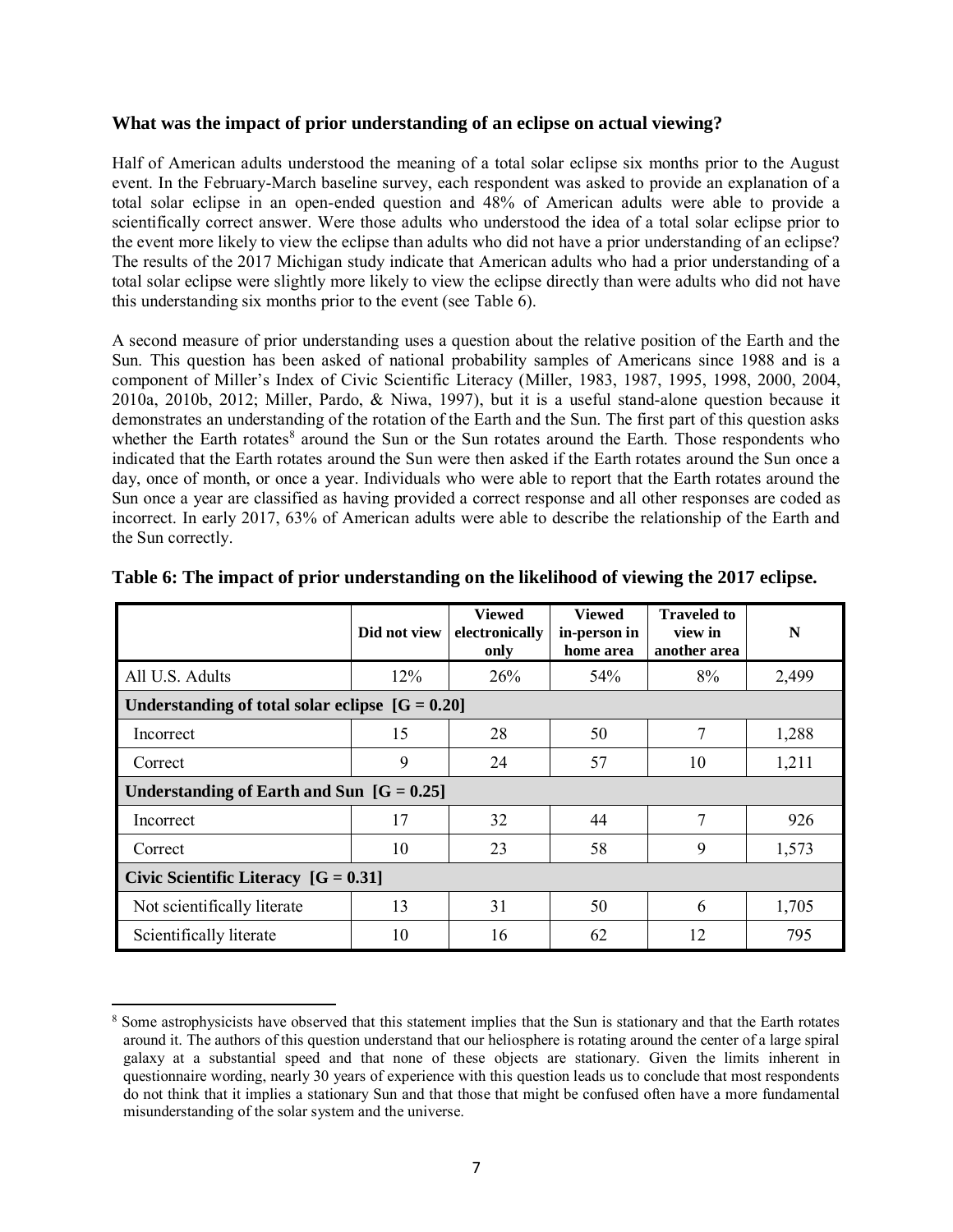#### **What was the impact of prior understanding of an eclipse on actual viewing?**

Half of American adults understood the meaning of a total solar eclipse six months prior to the August event. In the February-March baseline survey, each respondent was asked to provide an explanation of a total solar eclipse in an open-ended question and 48% of American adults were able to provide a scientifically correct answer. Were those adults who understood the idea of a total solar eclipse prior to the event more likely to view the eclipse than adults who did not have a prior understanding of an eclipse? The results of the 2017 Michigan study indicate that American adults who had a prior understanding of a total solar eclipse were slightly more likely to view the eclipse directly than were adults who did not have this understanding six months prior to the event (see Table 6).

A second measure of prior understanding uses a question about the relative position of the Earth and the Sun. This question has been asked of national probability samples of Americans since 1988 and is a component of Miller's Index of Civic Scientific Literacy (Miller, 1983, 1987, 1995, 1998, 2000, 2004, 2010a, 2010b, 2012; Miller, Pardo, & Niwa, 1997), but it is a useful stand-alone question because it demonstrates an understanding of the rotation of the Earth and the Sun. The first part of this question asks whether the Earth rotates<sup>8</sup> around the Sun or the Sun rotates around the Earth. Those respondents who indicated that the Earth rotates around the Sun were then asked if the Earth rotates around the Sun once a day, once of month, or once a year. Individuals who were able to report that the Earth rotates around the Sun once a year are classified as having provided a correct response and all other responses are coded as incorrect. In early 2017, 63% of American adults were able to describe the relationship of the Earth and the Sun correctly.

|                                                   | Did not view | <b>Viewed</b><br>electronically<br>only | <b>Viewed</b><br>in-person in<br>home area | <b>Traveled to</b><br>view in<br>another area | N     |  |  |
|---------------------------------------------------|--------------|-----------------------------------------|--------------------------------------------|-----------------------------------------------|-------|--|--|
| All U.S. Adults                                   | 12%          | 26%                                     | 54%                                        | 8%                                            | 2,499 |  |  |
| Understanding of total solar eclipse $[G = 0.20]$ |              |                                         |                                            |                                               |       |  |  |
| Incorrect                                         | 15           | 28                                      | 50                                         | 7                                             | 1,288 |  |  |
| Correct                                           | 9            | 24                                      | 57                                         | 10                                            | 1,211 |  |  |
| Understanding of Earth and Sun $[G = 0.25]$       |              |                                         |                                            |                                               |       |  |  |
| Incorrect                                         | 17           | 32                                      | 44                                         | 7                                             | 926   |  |  |
| Correct                                           | 10           | 23                                      | 58                                         | 9                                             | 1,573 |  |  |
| Civic Scientific Literacy $[G = 0.31]$            |              |                                         |                                            |                                               |       |  |  |
| Not scientifically literate                       | 13           | 31                                      | 50                                         | 6                                             | 1,705 |  |  |
| Scientifically literate                           | 10           | 16                                      | 62                                         | 12                                            | 795   |  |  |

#### **Table 6: The impact of prior understanding on the likelihood of viewing the 2017 eclipse.**

 $\overline{a}$ 

<sup>&</sup>lt;sup>8</sup> Some astrophysicists have observed that this statement implies that the Sun is stationary and that the Earth rotates around it. The authors of this question understand that our heliosphere is rotating around the center of a large spiral galaxy at a substantial speed and that none of these objects are stationary. Given the limits inherent in questionnaire wording, nearly 30 years of experience with this question leads us to conclude that most respondents do not think that it implies a stationary Sun and that those that might be confused often have a more fundamental misunderstanding of the solar system and the universe.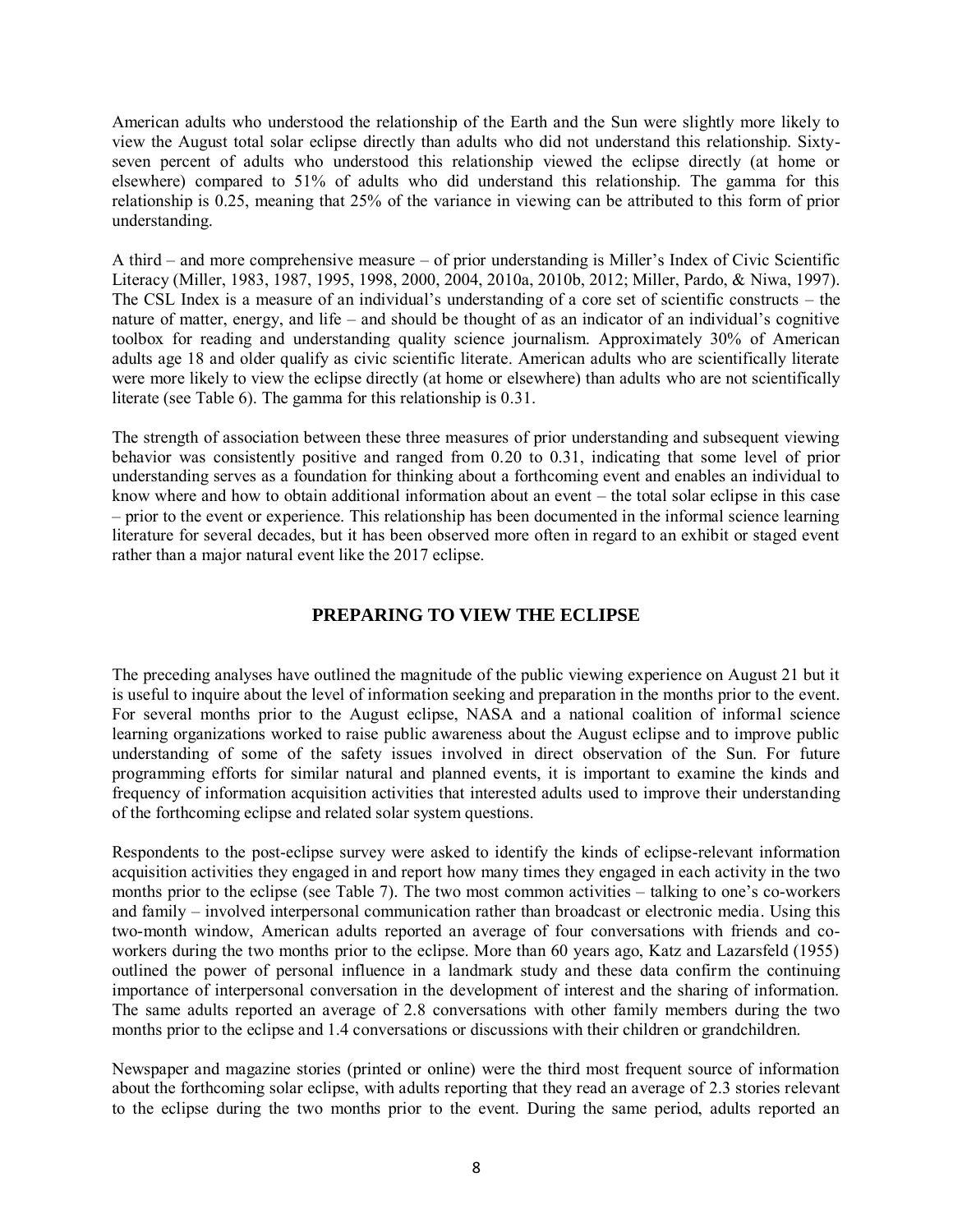American adults who understood the relationship of the Earth and the Sun were slightly more likely to view the August total solar eclipse directly than adults who did not understand this relationship. Sixtyseven percent of adults who understood this relationship viewed the eclipse directly (at home or elsewhere) compared to 51% of adults who did understand this relationship. The gamma for this relationship is 0.25, meaning that 25% of the variance in viewing can be attributed to this form of prior understanding.

A third – and more comprehensive measure – of prior understanding is Miller's Index of Civic Scientific Literacy (Miller, 1983, 1987, 1995, 1998, 2000, 2004, 2010a, 2010b, 2012; Miller, Pardo, & Niwa, 1997). The CSL Index is a measure of an individual's understanding of a core set of scientific constructs – the nature of matter, energy, and life – and should be thought of as an indicator of an individual's cognitive toolbox for reading and understanding quality science journalism. Approximately 30% of American adults age 18 and older qualify as civic scientific literate. American adults who are scientifically literate were more likely to view the eclipse directly (at home or elsewhere) than adults who are not scientifically literate (see Table 6). The gamma for this relationship is 0.31.

The strength of association between these three measures of prior understanding and subsequent viewing behavior was consistently positive and ranged from 0.20 to 0.31, indicating that some level of prior understanding serves as a foundation for thinking about a forthcoming event and enables an individual to know where and how to obtain additional information about an event – the total solar eclipse in this case – prior to the event or experience. This relationship has been documented in the informal science learning literature for several decades, but it has been observed more often in regard to an exhibit or staged event rather than a major natural event like the 2017 eclipse.

## **PREPARING TO VIEW THE ECLIPSE**

The preceding analyses have outlined the magnitude of the public viewing experience on August 21 but it is useful to inquire about the level of information seeking and preparation in the months prior to the event. For several months prior to the August eclipse, NASA and a national coalition of informal science learning organizations worked to raise public awareness about the August eclipse and to improve public understanding of some of the safety issues involved in direct observation of the Sun. For future programming efforts for similar natural and planned events, it is important to examine the kinds and frequency of information acquisition activities that interested adults used to improve their understanding of the forthcoming eclipse and related solar system questions.

Respondents to the post-eclipse survey were asked to identify the kinds of eclipse-relevant information acquisition activities they engaged in and report how many times they engaged in each activity in the two months prior to the eclipse (see Table 7). The two most common activities – talking to one's co-workers and family – involved interpersonal communication rather than broadcast or electronic media. Using this two-month window, American adults reported an average of four conversations with friends and coworkers during the two months prior to the eclipse. More than 60 years ago, Katz and Lazarsfeld (1955) outlined the power of personal influence in a landmark study and these data confirm the continuing importance of interpersonal conversation in the development of interest and the sharing of information. The same adults reported an average of 2.8 conversations with other family members during the two months prior to the eclipse and 1.4 conversations or discussions with their children or grandchildren.

Newspaper and magazine stories (printed or online) were the third most frequent source of information about the forthcoming solar eclipse, with adults reporting that they read an average of 2.3 stories relevant to the eclipse during the two months prior to the event. During the same period, adults reported an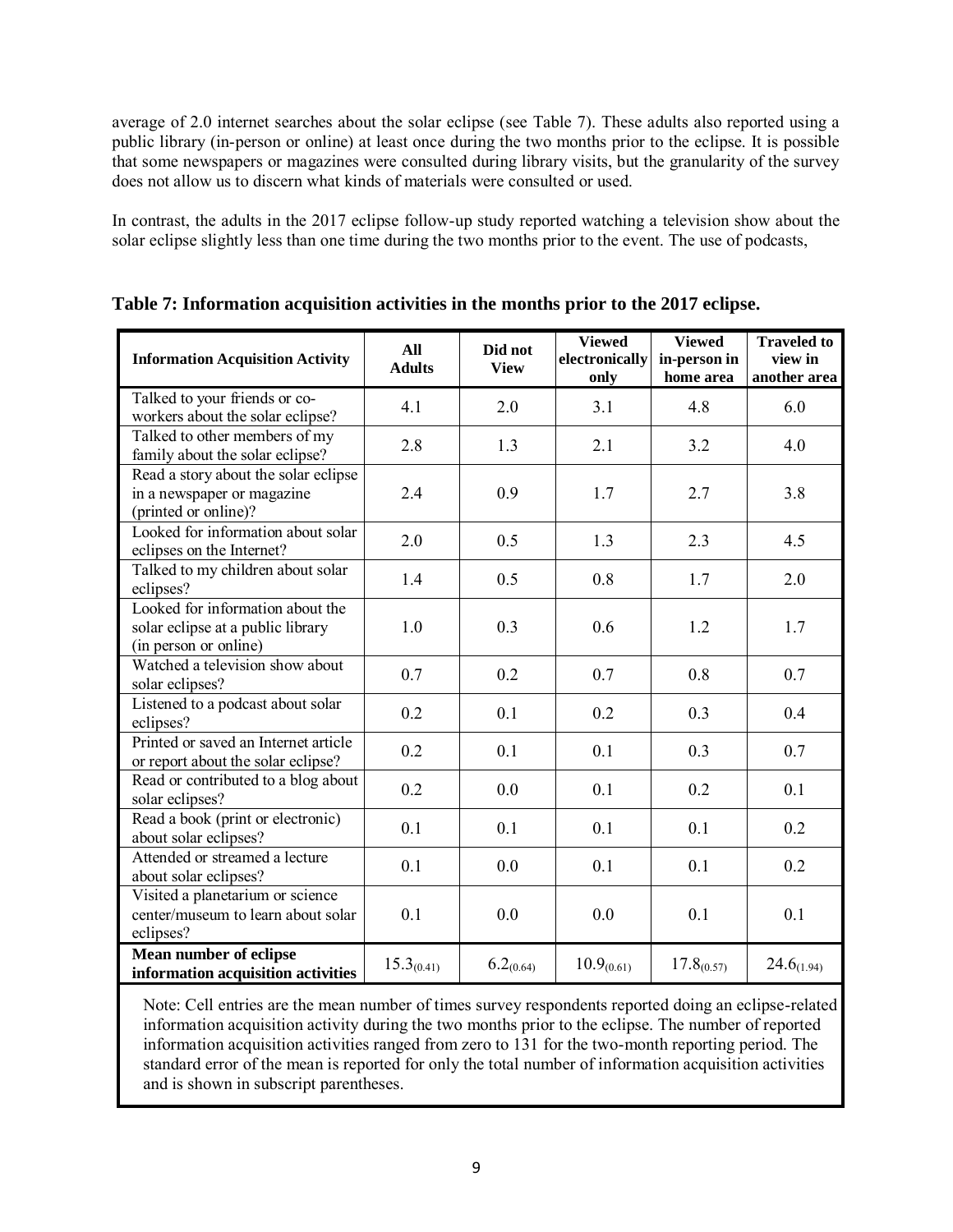average of 2.0 internet searches about the solar eclipse (see Table 7). These adults also reported using a public library (in-person or online) at least once during the two months prior to the eclipse. It is possible that some newspapers or magazines were consulted during library visits, but the granularity of the survey does not allow us to discern what kinds of materials were consulted or used.

In contrast, the adults in the 2017 eclipse follow-up study reported watching a television show about the solar eclipse slightly less than one time during the two months prior to the event. The use of podcasts,

| <b>Information Acquisition Activity</b>                                                        | All<br><b>Adults</b> | Did not<br><b>View</b> | <b>Viewed</b><br>electronically<br>only | <b>Viewed</b><br>in-person in<br>home area | <b>Traveled to</b><br>view in<br>another area |
|------------------------------------------------------------------------------------------------|----------------------|------------------------|-----------------------------------------|--------------------------------------------|-----------------------------------------------|
| Talked to your friends or co-<br>workers about the solar eclipse?                              | 4.1                  | 2.0                    | 3.1                                     | 4.8                                        | 6.0                                           |
| Talked to other members of my<br>family about the solar eclipse?                               | 2.8                  | 1.3                    | 2.1                                     | 3.2                                        | 4.0                                           |
| Read a story about the solar eclipse<br>in a newspaper or magazine<br>(printed or online)?     | 2.4                  | 0.9                    | 1.7                                     | 2.7                                        | 3.8                                           |
| Looked for information about solar<br>eclipses on the Internet?                                | 2.0                  | 0.5                    | 1.3                                     | 2.3                                        | 4.5                                           |
| Talked to my children about solar<br>eclipses?                                                 | 1.4                  | 0.5                    | 0.8                                     | 1.7                                        | 2.0                                           |
| Looked for information about the<br>solar eclipse at a public library<br>(in person or online) | 1.0                  | 0.3                    | 0.6                                     | 1.2                                        | 1.7                                           |
| Watched a television show about<br>solar eclipses?                                             | 0.7                  | 0.2                    | 0.7                                     | 0.8                                        | 0.7                                           |
| Listened to a podcast about solar<br>eclipses?                                                 | 0.2                  | 0.1                    | 0.2                                     | 0.3                                        | 0.4                                           |
| Printed or saved an Internet article<br>or report about the solar eclipse?                     | 0.2                  | 0.1                    | 0.1                                     | 0.3                                        | 0.7                                           |
| Read or contributed to a blog about<br>solar eclipses?                                         | 0.2                  | 0.0                    | 0.1                                     | 0.2                                        | 0.1                                           |
| Read a book (print or electronic)<br>about solar eclipses?                                     | 0.1                  | 0.1                    | 0.1                                     | 0.1                                        | 0.2                                           |
| Attended or streamed a lecture<br>about solar eclipses?                                        | 0.1                  | 0.0                    | 0.1                                     | 0.1                                        | 0.2                                           |
| Visited a planetarium or science<br>center/museum to learn about solar<br>eclipses?            | 0.1                  | 0.0                    | 0.0                                     | 0.1                                        | 0.1                                           |
| Mean number of eclipse<br>information acquisition activities                                   | $15.3_{(0.41)}$      | $6.2_{(0.64)}$         | $10.9_{(0.61)}$                         | $17.8_{(0.57)}$                            | $24.6_{(1.94)}$                               |

**Table 7: Information acquisition activities in the months prior to the 2017 eclipse.**

Note: Cell entries are the mean number of times survey respondents reported doing an eclipse-related information acquisition activity during the two months prior to the eclipse. The number of reported information acquisition activities ranged from zero to 131 for the two-month reporting period. The standard error of the mean is reported for only the total number of information acquisition activities and is shown in subscript parentheses.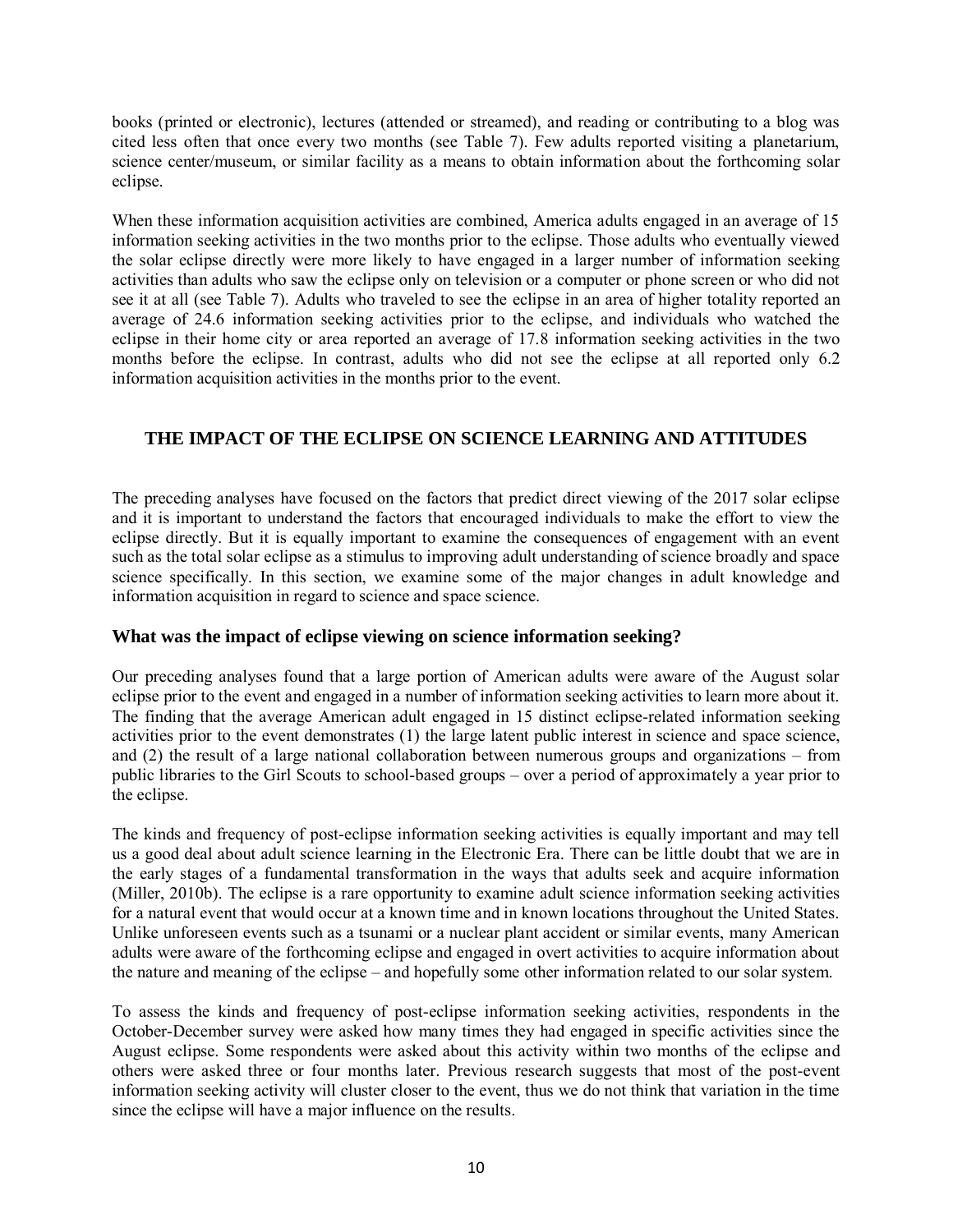books (printed or electronic), lectures (attended or streamed), and reading or contributing to a blog was cited less often that once every two months (see Table 7). Few adults reported visiting a planetarium, science center/museum, or similar facility as a means to obtain information about the forthcoming solar eclipse.

When these information acquisition activities are combined, America adults engaged in an average of 15 information seeking activities in the two months prior to the eclipse. Those adults who eventually viewed the solar eclipse directly were more likely to have engaged in a larger number of information seeking activities than adults who saw the eclipse only on television or a computer or phone screen or who did not see it at all (see Table 7). Adults who traveled to see the eclipse in an area of higher totality reported an average of 24.6 information seeking activities prior to the eclipse, and individuals who watched the eclipse in their home city or area reported an average of 17.8 information seeking activities in the two months before the eclipse. In contrast, adults who did not see the eclipse at all reported only 6.2 information acquisition activities in the months prior to the event.

## **THE IMPACT OF THE ECLIPSE ON SCIENCE LEARNING AND ATTITUDES**

The preceding analyses have focused on the factors that predict direct viewing of the 2017 solar eclipse and it is important to understand the factors that encouraged individuals to make the effort to view the eclipse directly. But it is equally important to examine the consequences of engagement with an event such as the total solar eclipse as a stimulus to improving adult understanding of science broadly and space science specifically. In this section, we examine some of the major changes in adult knowledge and information acquisition in regard to science and space science.

#### **What was the impact of eclipse viewing on science information seeking?**

Our preceding analyses found that a large portion of American adults were aware of the August solar eclipse prior to the event and engaged in a number of information seeking activities to learn more about it. The finding that the average American adult engaged in 15 distinct eclipse-related information seeking activities prior to the event demonstrates (1) the large latent public interest in science and space science, and (2) the result of a large national collaboration between numerous groups and organizations – from public libraries to the Girl Scouts to school-based groups – over a period of approximately a year prior to the eclipse.

The kinds and frequency of post-eclipse information seeking activities is equally important and may tell us a good deal about adult science learning in the Electronic Era. There can be little doubt that we are in the early stages of a fundamental transformation in the ways that adults seek and acquire information (Miller, 2010b). The eclipse is a rare opportunity to examine adult science information seeking activities for a natural event that would occur at a known time and in known locations throughout the United States. Unlike unforeseen events such as a tsunami or a nuclear plant accident or similar events, many American adults were aware of the forthcoming eclipse and engaged in overt activities to acquire information about the nature and meaning of the eclipse – and hopefully some other information related to our solar system.

To assess the kinds and frequency of post-eclipse information seeking activities, respondents in the October-December survey were asked how many times they had engaged in specific activities since the August eclipse. Some respondents were asked about this activity within two months of the eclipse and others were asked three or four months later. Previous research suggests that most of the post-event information seeking activity will cluster closer to the event, thus we do not think that variation in the time since the eclipse will have a major influence on the results.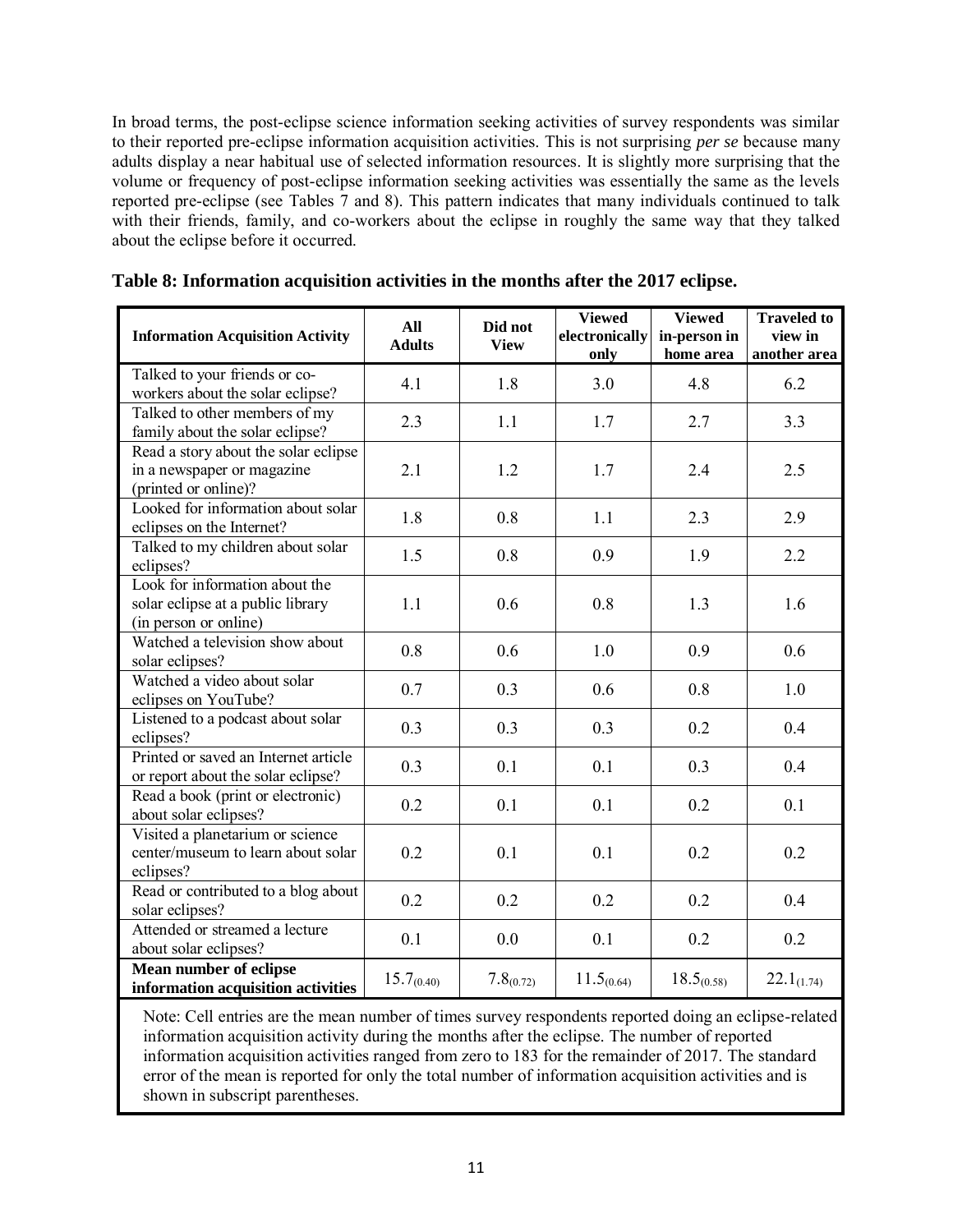In broad terms, the post-eclipse science information seeking activities of survey respondents was similar to their reported pre-eclipse information acquisition activities. This is not surprising *per se* because many adults display a near habitual use of selected information resources. It is slightly more surprising that the volume or frequency of post-eclipse information seeking activities was essentially the same as the levels reported pre-eclipse (see Tables 7 and 8). This pattern indicates that many individuals continued to talk with their friends, family, and co-workers about the eclipse in roughly the same way that they talked about the eclipse before it occurred.

| <b>Information Acquisition Activity</b>                                                      | All<br><b>Adults</b> | Did not<br><b>View</b> | <b>Viewed</b><br>electronically<br>only | <b>Viewed</b><br>in-person in<br>home area | <b>Traveled to</b><br>view in<br>another area |
|----------------------------------------------------------------------------------------------|----------------------|------------------------|-----------------------------------------|--------------------------------------------|-----------------------------------------------|
| Talked to your friends or co-<br>workers about the solar eclipse?                            | 4.1                  | 1.8                    | 3.0                                     | 4.8                                        | 6.2                                           |
| Talked to other members of my<br>family about the solar eclipse?                             | 2.3                  | 1.1                    | 1.7                                     | 2.7                                        | 3.3                                           |
| Read a story about the solar eclipse<br>in a newspaper or magazine<br>(printed or online)?   | 2.1                  | 1.2                    | 1.7                                     | 2.4                                        | 2.5                                           |
| Looked for information about solar<br>eclipses on the Internet?                              | 1.8                  | 0.8                    | 1.1                                     | 2.3                                        | 2.9                                           |
| Talked to my children about solar<br>eclipses?                                               | 1.5                  | 0.8                    | 0.9                                     | 1.9                                        | 2.2                                           |
| Look for information about the<br>solar eclipse at a public library<br>(in person or online) | 1.1                  | 0.6                    | 0.8                                     | 1.3                                        | 1.6                                           |
| Watched a television show about<br>solar eclipses?                                           | 0.8                  | 0.6                    | 1.0                                     | 0.9                                        | 0.6                                           |
| Watched a video about solar<br>eclipses on YouTube?                                          | 0.7                  | 0.3                    | 0.6                                     | 0.8                                        | 1.0                                           |
| Listened to a podcast about solar<br>eclipses?                                               | 0.3                  | 0.3                    | 0.3                                     | 0.2                                        | 0.4                                           |
| Printed or saved an Internet article<br>or report about the solar eclipse?                   | 0.3                  | 0.1                    | 0.1                                     | 0.3                                        | 0.4                                           |
| Read a book (print or electronic)<br>about solar eclipses?                                   | 0.2                  | 0.1                    | 0.1                                     | 0.2                                        | 0.1                                           |
| Visited a planetarium or science<br>center/museum to learn about solar<br>eclipses?          | 0.2                  | 0.1                    | 0.1                                     | 0.2                                        | 0.2                                           |
| Read or contributed to a blog about<br>solar eclipses?                                       | 0.2                  | 0.2                    | 0.2                                     | 0.2                                        | 0.4                                           |
| Attended or streamed a lecture<br>about solar eclipses?                                      | 0.1                  | 0.0                    | 0.1                                     | 0.2                                        | 0.2                                           |
| <b>Mean number of eclipse</b><br>information acquisition activities                          | $15.7_{(0.40)}$      | $7.8_{(0.72)}$         | $11.5_{(0.64)}$                         | $18.5_{(0.58)}$                            | $22.1_{(1.74)}$                               |

|  | Table 8: Information acquisition activities in the months after the 2017 eclipse. |  |  |  |
|--|-----------------------------------------------------------------------------------|--|--|--|
|--|-----------------------------------------------------------------------------------|--|--|--|

Note: Cell entries are the mean number of times survey respondents reported doing an eclipse-related information acquisition activity during the months after the eclipse. The number of reported information acquisition activities ranged from zero to 183 for the remainder of 2017. The standard error of the mean is reported for only the total number of information acquisition activities and is shown in subscript parentheses.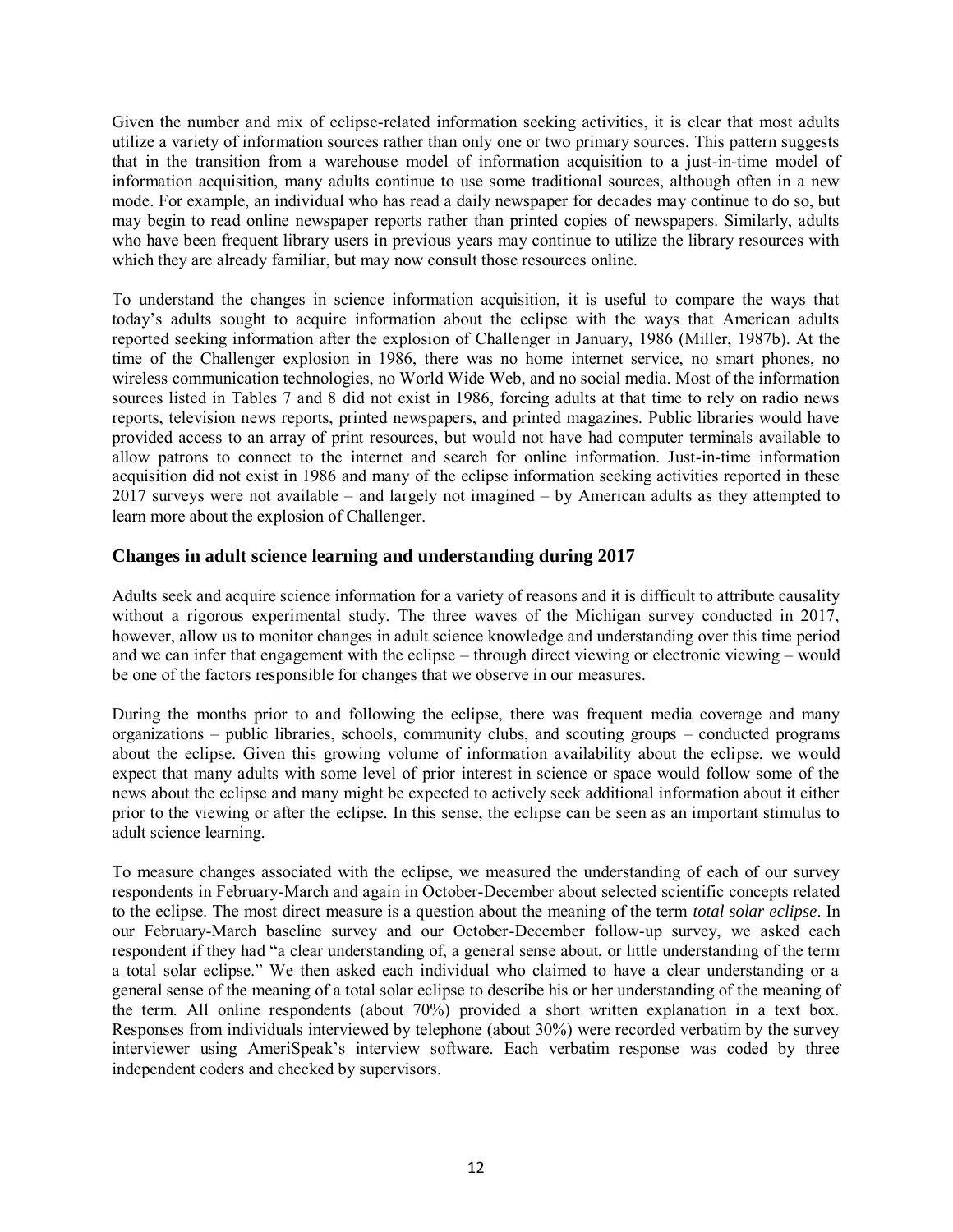Given the number and mix of eclipse-related information seeking activities, it is clear that most adults utilize a variety of information sources rather than only one or two primary sources. This pattern suggests that in the transition from a warehouse model of information acquisition to a just-in-time model of information acquisition, many adults continue to use some traditional sources, although often in a new mode. For example, an individual who has read a daily newspaper for decades may continue to do so, but may begin to read online newspaper reports rather than printed copies of newspapers. Similarly, adults who have been frequent library users in previous years may continue to utilize the library resources with which they are already familiar, but may now consult those resources online.

To understand the changes in science information acquisition, it is useful to compare the ways that today's adults sought to acquire information about the eclipse with the ways that American adults reported seeking information after the explosion of Challenger in January, 1986 (Miller, 1987b). At the time of the Challenger explosion in 1986, there was no home internet service, no smart phones, no wireless communication technologies, no World Wide Web, and no social media. Most of the information sources listed in Tables 7 and 8 did not exist in 1986, forcing adults at that time to rely on radio news reports, television news reports, printed newspapers, and printed magazines. Public libraries would have provided access to an array of print resources, but would not have had computer terminals available to allow patrons to connect to the internet and search for online information. Just-in-time information acquisition did not exist in 1986 and many of the eclipse information seeking activities reported in these 2017 surveys were not available – and largely not imagined – by American adults as they attempted to learn more about the explosion of Challenger.

#### **Changes in adult science learning and understanding during 2017**

Adults seek and acquire science information for a variety of reasons and it is difficult to attribute causality without a rigorous experimental study. The three waves of the Michigan survey conducted in 2017, however, allow us to monitor changes in adult science knowledge and understanding over this time period and we can infer that engagement with the eclipse – through direct viewing or electronic viewing – would be one of the factors responsible for changes that we observe in our measures.

During the months prior to and following the eclipse, there was frequent media coverage and many organizations – public libraries, schools, community clubs, and scouting groups – conducted programs about the eclipse. Given this growing volume of information availability about the eclipse, we would expect that many adults with some level of prior interest in science or space would follow some of the news about the eclipse and many might be expected to actively seek additional information about it either prior to the viewing or after the eclipse. In this sense, the eclipse can be seen as an important stimulus to adult science learning.

To measure changes associated with the eclipse, we measured the understanding of each of our survey respondents in February-March and again in October-December about selected scientific concepts related to the eclipse. The most direct measure is a question about the meaning of the term *total solar eclipse*. In our February-March baseline survey and our October-December follow-up survey, we asked each respondent if they had "a clear understanding of, a general sense about, or little understanding of the term a total solar eclipse." We then asked each individual who claimed to have a clear understanding or a general sense of the meaning of a total solar eclipse to describe his or her understanding of the meaning of the term. All online respondents (about 70%) provided a short written explanation in a text box. Responses from individuals interviewed by telephone (about 30%) were recorded verbatim by the survey interviewer using AmeriSpeak's interview software. Each verbatim response was coded by three independent coders and checked by supervisors.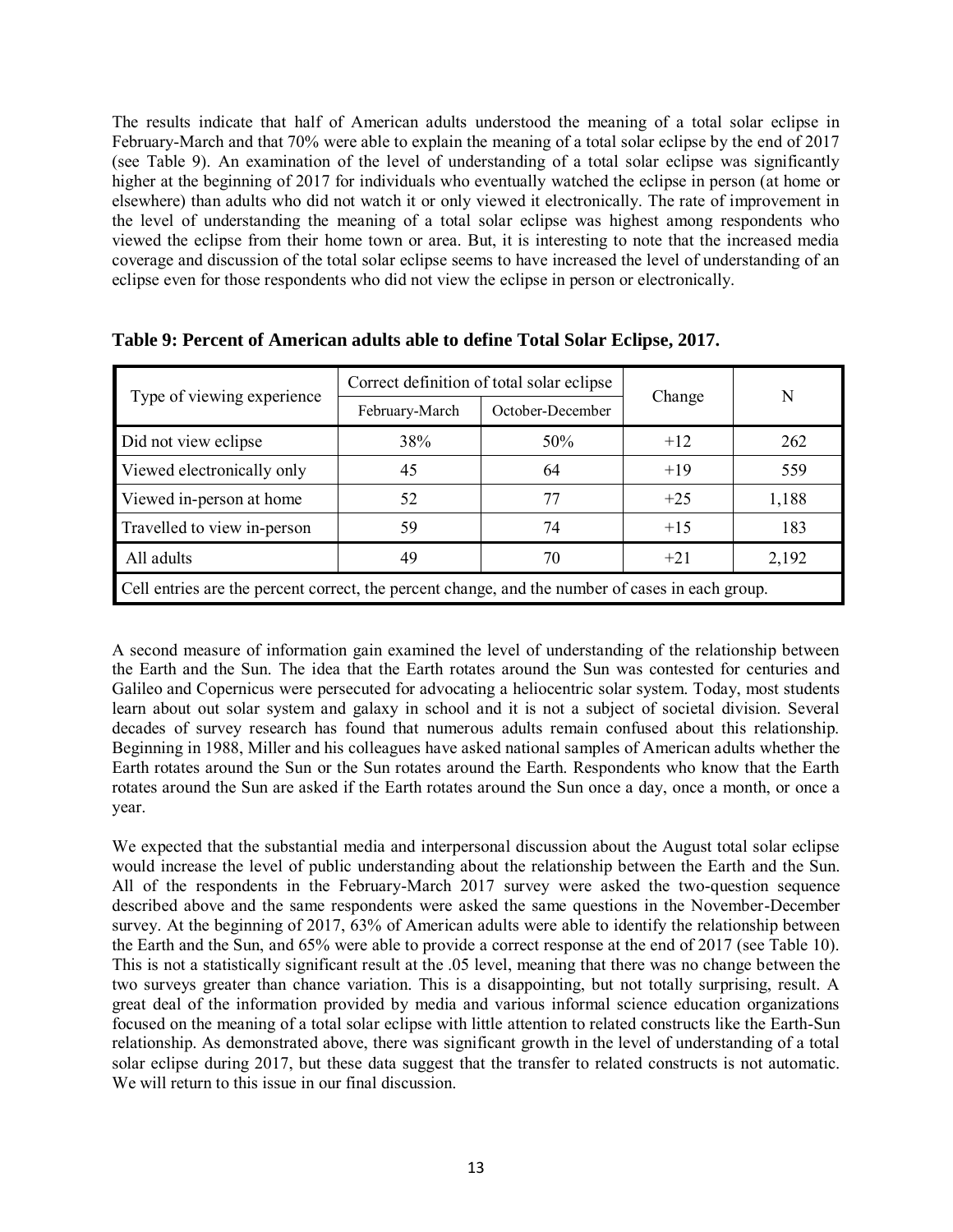The results indicate that half of American adults understood the meaning of a total solar eclipse in February-March and that 70% were able to explain the meaning of a total solar eclipse by the end of 2017 (see Table 9). An examination of the level of understanding of a total solar eclipse was significantly higher at the beginning of 2017 for individuals who eventually watched the eclipse in person (at home or elsewhere) than adults who did not watch it or only viewed it electronically. The rate of improvement in the level of understanding the meaning of a total solar eclipse was highest among respondents who viewed the eclipse from their home town or area. But, it is interesting to note that the increased media coverage and discussion of the total solar eclipse seems to have increased the level of understanding of an eclipse even for those respondents who did not view the eclipse in person or electronically.

|                                                                                                  |                                    | Correct definition of total solar eclipse |        | N     |  |  |
|--------------------------------------------------------------------------------------------------|------------------------------------|-------------------------------------------|--------|-------|--|--|
| Type of viewing experience                                                                       | October-December<br>February-March |                                           | Change |       |  |  |
| Did not view eclipse                                                                             | 38%                                | 50%                                       | $+12$  | 262   |  |  |
| Viewed electronically only                                                                       | 45                                 | 64                                        | $+19$  | 559   |  |  |
| Viewed in-person at home                                                                         | 52                                 | 77                                        | $+25$  | 1,188 |  |  |
| Travelled to view in-person                                                                      | 59                                 | 74                                        | $+15$  | 183   |  |  |
| All adults                                                                                       | 49                                 | 70                                        | $+21$  | 2,192 |  |  |
| Cell entries are the percent correct, the percent change, and the number of cases in each group. |                                    |                                           |        |       |  |  |

**Table 9: Percent of American adults able to define Total Solar Eclipse, 2017.**

A second measure of information gain examined the level of understanding of the relationship between the Earth and the Sun. The idea that the Earth rotates around the Sun was contested for centuries and Galileo and Copernicus were persecuted for advocating a heliocentric solar system. Today, most students learn about out solar system and galaxy in school and it is not a subject of societal division. Several decades of survey research has found that numerous adults remain confused about this relationship. Beginning in 1988, Miller and his colleagues have asked national samples of American adults whether the Earth rotates around the Sun or the Sun rotates around the Earth. Respondents who know that the Earth rotates around the Sun are asked if the Earth rotates around the Sun once a day, once a month, or once a year.

We expected that the substantial media and interpersonal discussion about the August total solar eclipse would increase the level of public understanding about the relationship between the Earth and the Sun. All of the respondents in the February-March 2017 survey were asked the two-question sequence described above and the same respondents were asked the same questions in the November-December survey. At the beginning of 2017, 63% of American adults were able to identify the relationship between the Earth and the Sun, and 65% were able to provide a correct response at the end of 2017 (see Table 10). This is not a statistically significant result at the .05 level, meaning that there was no change between the two surveys greater than chance variation. This is a disappointing, but not totally surprising, result. A great deal of the information provided by media and various informal science education organizations focused on the meaning of a total solar eclipse with little attention to related constructs like the Earth-Sun relationship. As demonstrated above, there was significant growth in the level of understanding of a total solar eclipse during 2017, but these data suggest that the transfer to related constructs is not automatic. We will return to this issue in our final discussion.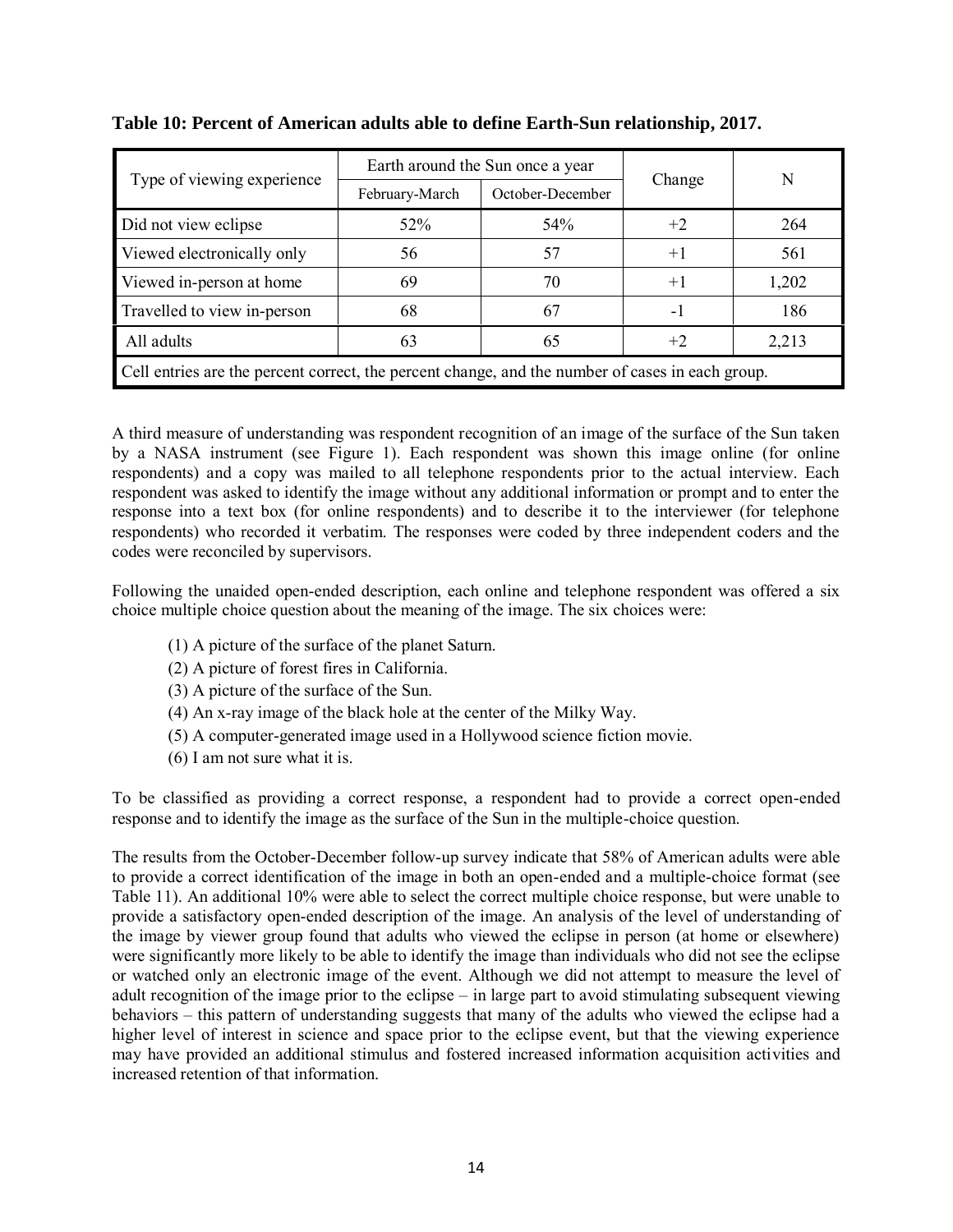|                                                                                                  |                                    | Earth around the Sun once a year |        |       |  |  |  |
|--------------------------------------------------------------------------------------------------|------------------------------------|----------------------------------|--------|-------|--|--|--|
| Type of viewing experience                                                                       | October-December<br>February-March |                                  | Change | N     |  |  |  |
| Did not view eclipse                                                                             | 52%                                | 54 <sup>\o</sup>                 | $+2$   | 264   |  |  |  |
| Viewed electronically only                                                                       | 56                                 | 57                               | $+1$   | 561   |  |  |  |
| Viewed in-person at home                                                                         | 69                                 | 70                               | $+1$   | 1,202 |  |  |  |
| Travelled to view in-person                                                                      | 68                                 | 67                               | -1     | 186   |  |  |  |
| All adults                                                                                       | 63                                 | 65                               | $+2$   | 2,213 |  |  |  |
| Cell entries are the percent correct, the percent change, and the number of cases in each group. |                                    |                                  |        |       |  |  |  |

## **Table 10: Percent of American adults able to define Earth-Sun relationship, 2017.**

A third measure of understanding was respondent recognition of an image of the surface of the Sun taken by a NASA instrument (see Figure 1). Each respondent was shown this image online (for online respondents) and a copy was mailed to all telephone respondents prior to the actual interview. Each respondent was asked to identify the image without any additional information or prompt and to enter the response into a text box (for online respondents) and to describe it to the interviewer (for telephone respondents) who recorded it verbatim. The responses were coded by three independent coders and the codes were reconciled by supervisors.

Following the unaided open-ended description, each online and telephone respondent was offered a six choice multiple choice question about the meaning of the image. The six choices were:

- (1) A picture of the surface of the planet Saturn.
- (2) A picture of forest fires in California.
- (3) A picture of the surface of the Sun.
- (4) An x-ray image of the black hole at the center of the Milky Way.
- (5) A computer-generated image used in a Hollywood science fiction movie.
- (6) I am not sure what it is.

To be classified as providing a correct response, a respondent had to provide a correct open-ended response and to identify the image as the surface of the Sun in the multiple-choice question.

The results from the October-December follow-up survey indicate that 58% of American adults were able to provide a correct identification of the image in both an open-ended and a multiple-choice format (see Table 11). An additional 10% were able to select the correct multiple choice response, but were unable to provide a satisfactory open-ended description of the image. An analysis of the level of understanding of the image by viewer group found that adults who viewed the eclipse in person (at home or elsewhere) were significantly more likely to be able to identify the image than individuals who did not see the eclipse or watched only an electronic image of the event. Although we did not attempt to measure the level of adult recognition of the image prior to the eclipse – in large part to avoid stimulating subsequent viewing behaviors – this pattern of understanding suggests that many of the adults who viewed the eclipse had a higher level of interest in science and space prior to the eclipse event, but that the viewing experience may have provided an additional stimulus and fostered increased information acquisition activities and increased retention of that information.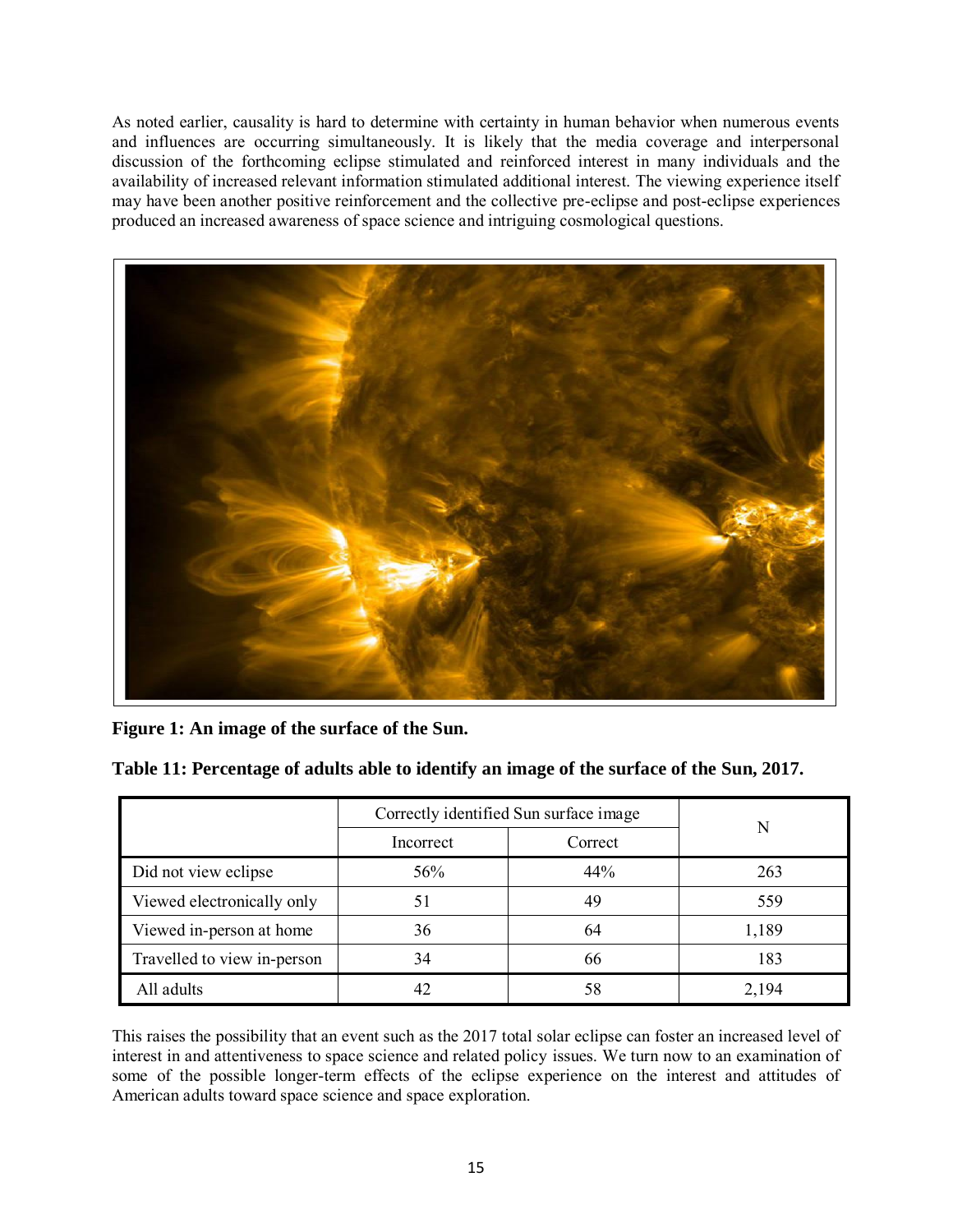As noted earlier, causality is hard to determine with certainty in human behavior when numerous events and influences are occurring simultaneously. It is likely that the media coverage and interpersonal discussion of the forthcoming eclipse stimulated and reinforced interest in many individuals and the availability of increased relevant information stimulated additional interest. The viewing experience itself may have been another positive reinforcement and the collective pre-eclipse and post-eclipse experiences produced an increased awareness of space science and intriguing cosmological questions.



|  |  |  | Figure 1: An image of the surface of the Sun. |  |  |
|--|--|--|-----------------------------------------------|--|--|
|  |  |  |                                               |  |  |

|                             | Correctly identified Sun surface image |         |       |  |
|-----------------------------|----------------------------------------|---------|-------|--|
|                             | Incorrect                              | Correct | N     |  |
| Did not view eclipse        | 56%                                    | 44%     | 263   |  |
| Viewed electronically only  | 51                                     | 49      | 559   |  |
| Viewed in-person at home    | 36                                     | 64      | 1,189 |  |
| Travelled to view in-person | 34                                     | 66      | 183   |  |
| All adults                  | 42                                     | 58      | 2,194 |  |

**Table 11: Percentage of adults able to identify an image of the surface of the Sun, 2017.**

This raises the possibility that an event such as the 2017 total solar eclipse can foster an increased level of interest in and attentiveness to space science and related policy issues. We turn now to an examination of some of the possible longer-term effects of the eclipse experience on the interest and attitudes of American adults toward space science and space exploration.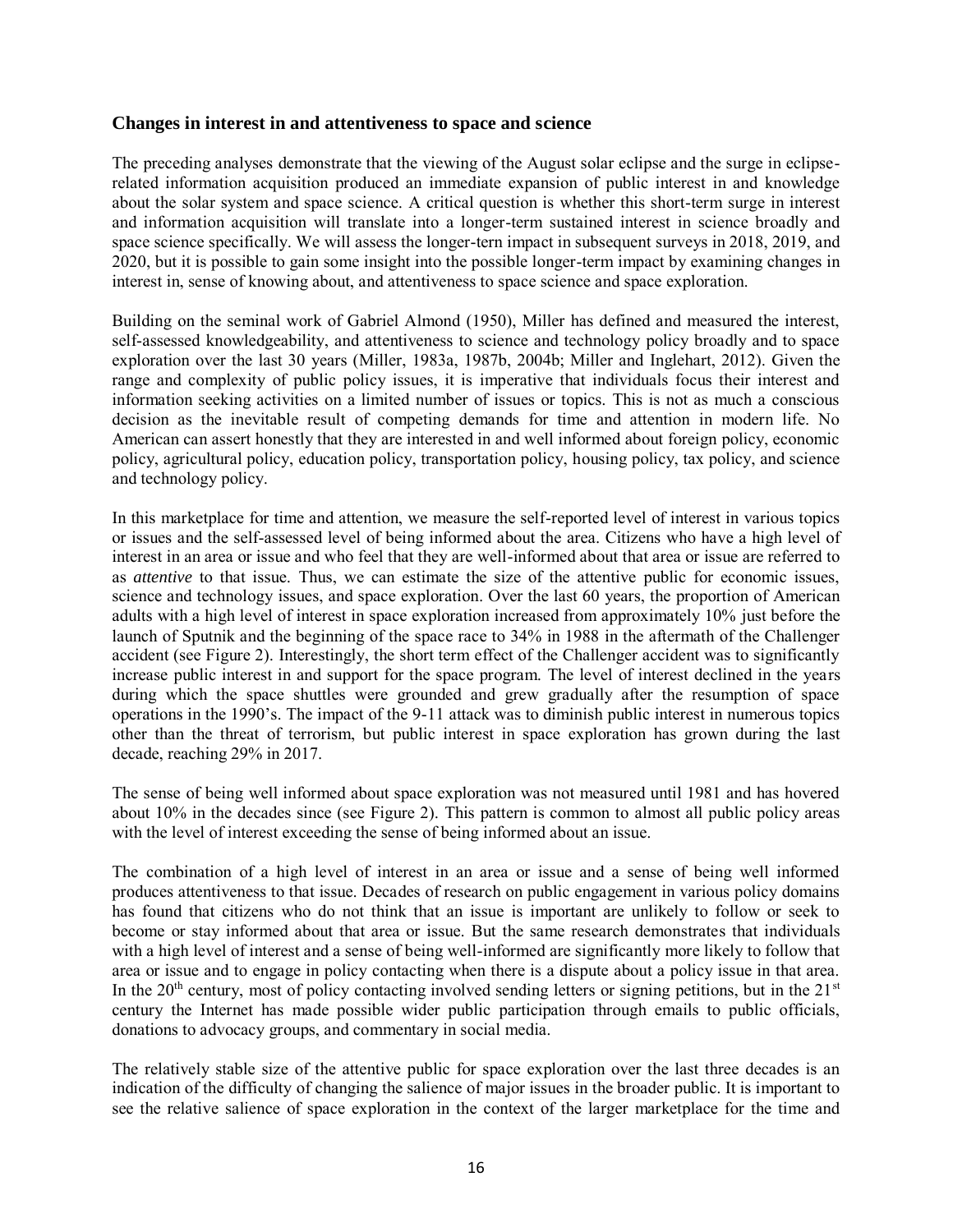#### **Changes in interest in and attentiveness to space and science**

The preceding analyses demonstrate that the viewing of the August solar eclipse and the surge in eclipserelated information acquisition produced an immediate expansion of public interest in and knowledge about the solar system and space science. A critical question is whether this short-term surge in interest and information acquisition will translate into a longer-term sustained interest in science broadly and space science specifically. We will assess the longer-tern impact in subsequent surveys in 2018, 2019, and 2020, but it is possible to gain some insight into the possible longer-term impact by examining changes in interest in, sense of knowing about, and attentiveness to space science and space exploration.

Building on the seminal work of Gabriel Almond (1950), Miller has defined and measured the interest, self-assessed knowledgeability, and attentiveness to science and technology policy broadly and to space exploration over the last 30 years (Miller, 1983a, 1987b, 2004b; Miller and Inglehart, 2012). Given the range and complexity of public policy issues, it is imperative that individuals focus their interest and information seeking activities on a limited number of issues or topics. This is not as much a conscious decision as the inevitable result of competing demands for time and attention in modern life. No American can assert honestly that they are interested in and well informed about foreign policy, economic policy, agricultural policy, education policy, transportation policy, housing policy, tax policy, and science and technology policy.

In this marketplace for time and attention, we measure the self-reported level of interest in various topics or issues and the self-assessed level of being informed about the area. Citizens who have a high level of interest in an area or issue and who feel that they are well-informed about that area or issue are referred to as *attentive* to that issue. Thus, we can estimate the size of the attentive public for economic issues, science and technology issues, and space exploration. Over the last 60 years, the proportion of American adults with a high level of interest in space exploration increased from approximately 10% just before the launch of Sputnik and the beginning of the space race to 34% in 1988 in the aftermath of the Challenger accident (see Figure 2). Interestingly, the short term effect of the Challenger accident was to significantly increase public interest in and support for the space program. The level of interest declined in the years during which the space shuttles were grounded and grew gradually after the resumption of space operations in the 1990's. The impact of the 9-11 attack was to diminish public interest in numerous topics other than the threat of terrorism, but public interest in space exploration has grown during the last decade, reaching 29% in 2017.

The sense of being well informed about space exploration was not measured until 1981 and has hovered about 10% in the decades since (see Figure 2). This pattern is common to almost all public policy areas with the level of interest exceeding the sense of being informed about an issue.

The combination of a high level of interest in an area or issue and a sense of being well informed produces attentiveness to that issue. Decades of research on public engagement in various policy domains has found that citizens who do not think that an issue is important are unlikely to follow or seek to become or stay informed about that area or issue. But the same research demonstrates that individuals with a high level of interest and a sense of being well-informed are significantly more likely to follow that area or issue and to engage in policy contacting when there is a dispute about a policy issue in that area. In the  $20<sup>th</sup>$  century, most of policy contacting involved sending letters or signing petitions, but in the  $21<sup>st</sup>$ century the Internet has made possible wider public participation through emails to public officials, donations to advocacy groups, and commentary in social media.

The relatively stable size of the attentive public for space exploration over the last three decades is an indication of the difficulty of changing the salience of major issues in the broader public. It is important to see the relative salience of space exploration in the context of the larger marketplace for the time and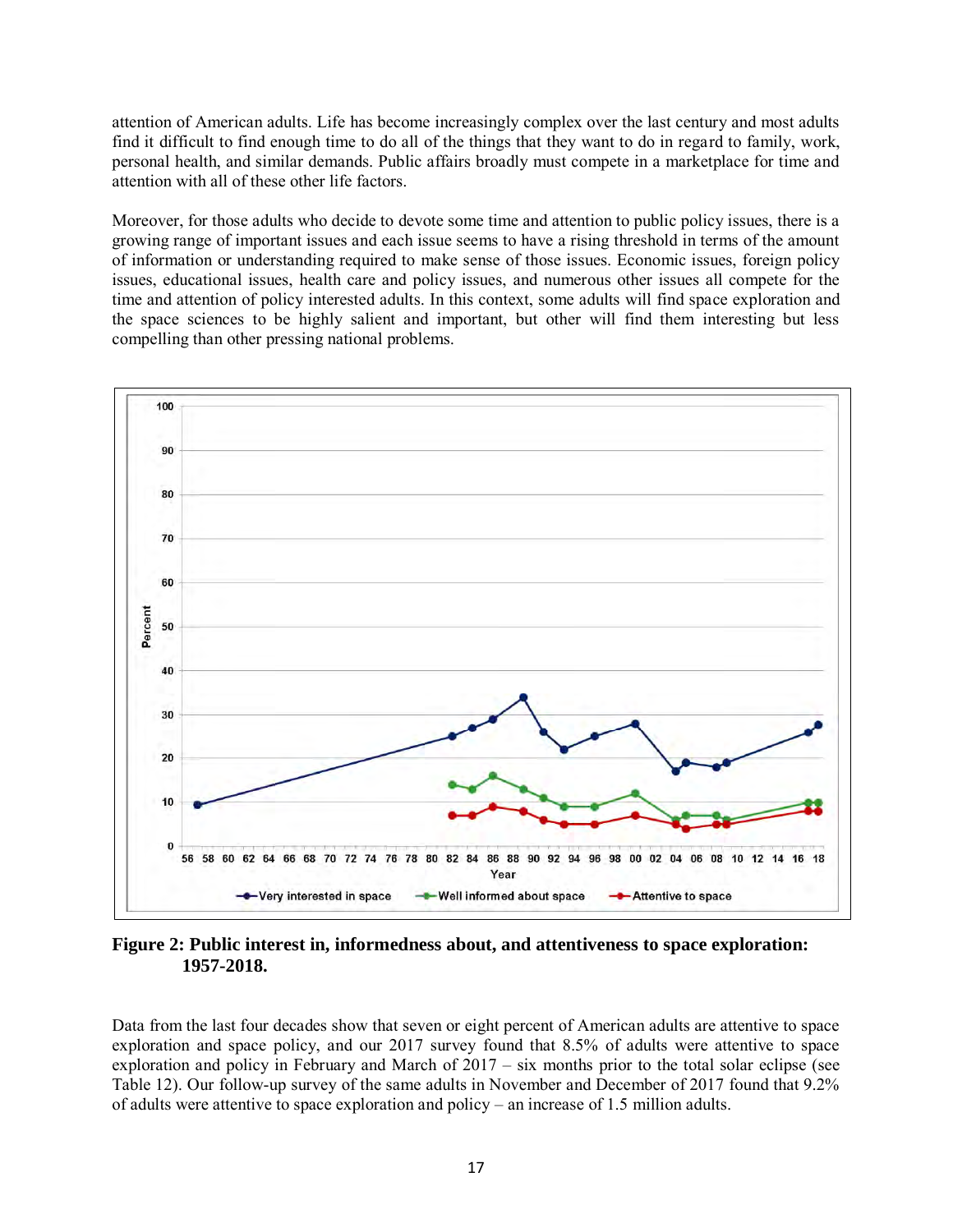attention of American adults. Life has become increasingly complex over the last century and most adults find it difficult to find enough time to do all of the things that they want to do in regard to family, work, personal health, and similar demands. Public affairs broadly must compete in a marketplace for time and attention with all of these other life factors.

Moreover, for those adults who decide to devote some time and attention to public policy issues, there is a growing range of important issues and each issue seems to have a rising threshold in terms of the amount of information or understanding required to make sense of those issues. Economic issues, foreign policy issues, educational issues, health care and policy issues, and numerous other issues all compete for the time and attention of policy interested adults. In this context, some adults will find space exploration and the space sciences to be highly salient and important, but other will find them interesting but less compelling than other pressing national problems.



**Figure 2: Public interest in, informedness about, and attentiveness to space exploration: 1957-2018.**

Data from the last four decades show that seven or eight percent of American adults are attentive to space exploration and space policy, and our 2017 survey found that 8.5% of adults were attentive to space exploration and policy in February and March of 2017 – six months prior to the total solar eclipse (see Table 12). Our follow-up survey of the same adults in November and December of 2017 found that 9.2% of adults were attentive to space exploration and policy – an increase of 1.5 million adults.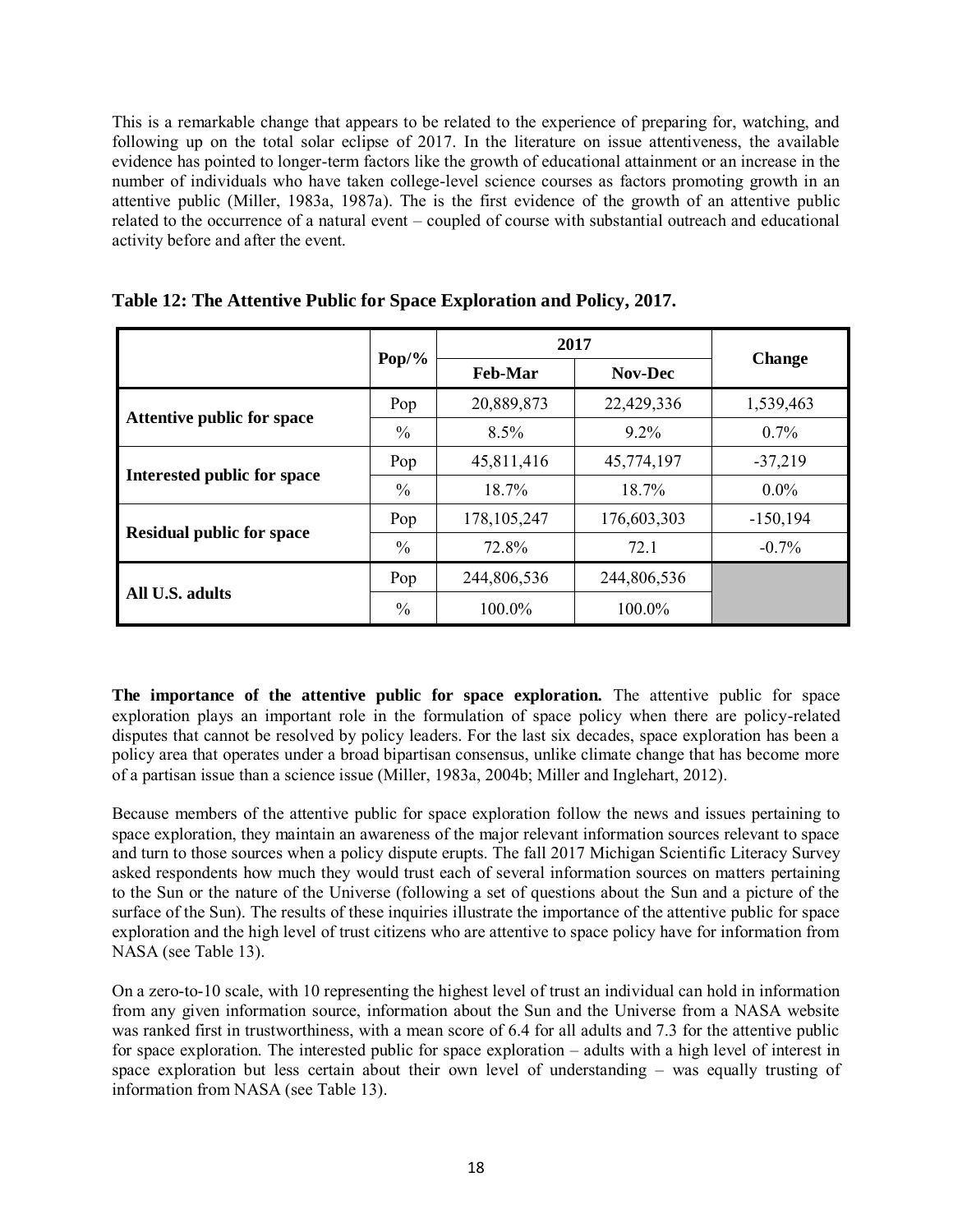This is a remarkable change that appears to be related to the experience of preparing for, watching, and following up on the total solar eclipse of 2017. In the literature on issue attentiveness, the available evidence has pointed to longer-term factors like the growth of educational attainment or an increase in the number of individuals who have taken college-level science courses as factors promoting growth in an attentive public (Miller, 1983a, 1987a). The is the first evidence of the growth of an attentive public related to the occurrence of a natural event – coupled of course with substantial outreach and educational activity before and after the event.

|                                  |               | 2017           |                |               |  |
|----------------------------------|---------------|----------------|----------------|---------------|--|
|                                  | $Pop/$ %      | <b>Feb-Mar</b> | <b>Nov-Dec</b> | <b>Change</b> |  |
| Attentive public for space       | Pop           | 20,889,873     | 22,429,336     | 1,539,463     |  |
|                                  | $\frac{0}{0}$ | $8.5\%$        | $9.2\%$        | $0.7\%$       |  |
|                                  | Pop           | 45,811,416     | 45,774,197     | $-37,219$     |  |
| Interested public for space      | $\frac{0}{0}$ | 18.7%          | 18.7%          | $0.0\%$       |  |
| <b>Residual public for space</b> | Pop           | 178, 105, 247  | 176,603,303    | $-150, 194$   |  |
|                                  | $\frac{0}{0}$ | 72.8%          | 72.1           | $-0.7%$       |  |
|                                  | Pop           | 244,806,536    | 244,806,536    |               |  |
| All U.S. adults                  | $\frac{0}{0}$ | 100.0%         | 100.0%         |               |  |

| Table 12: The Attentive Public for Space Exploration and Policy, 2017. |  |  |
|------------------------------------------------------------------------|--|--|
|                                                                        |  |  |

**The importance of the attentive public for space exploration.** The attentive public for space exploration plays an important role in the formulation of space policy when there are policy-related disputes that cannot be resolved by policy leaders. For the last six decades, space exploration has been a policy area that operates under a broad bipartisan consensus, unlike climate change that has become more of a partisan issue than a science issue (Miller, 1983a, 2004b; Miller and Inglehart, 2012).

Because members of the attentive public for space exploration follow the news and issues pertaining to space exploration, they maintain an awareness of the major relevant information sources relevant to space and turn to those sources when a policy dispute erupts. The fall 2017 Michigan Scientific Literacy Survey asked respondents how much they would trust each of several information sources on matters pertaining to the Sun or the nature of the Universe (following a set of questions about the Sun and a picture of the surface of the Sun). The results of these inquiries illustrate the importance of the attentive public for space exploration and the high level of trust citizens who are attentive to space policy have for information from NASA (see Table 13).

On a zero-to-10 scale, with 10 representing the highest level of trust an individual can hold in information from any given information source, information about the Sun and the Universe from a NASA website was ranked first in trustworthiness, with a mean score of 6.4 for all adults and 7.3 for the attentive public for space exploration. The interested public for space exploration – adults with a high level of interest in space exploration but less certain about their own level of understanding – was equally trusting of information from NASA (see Table 13).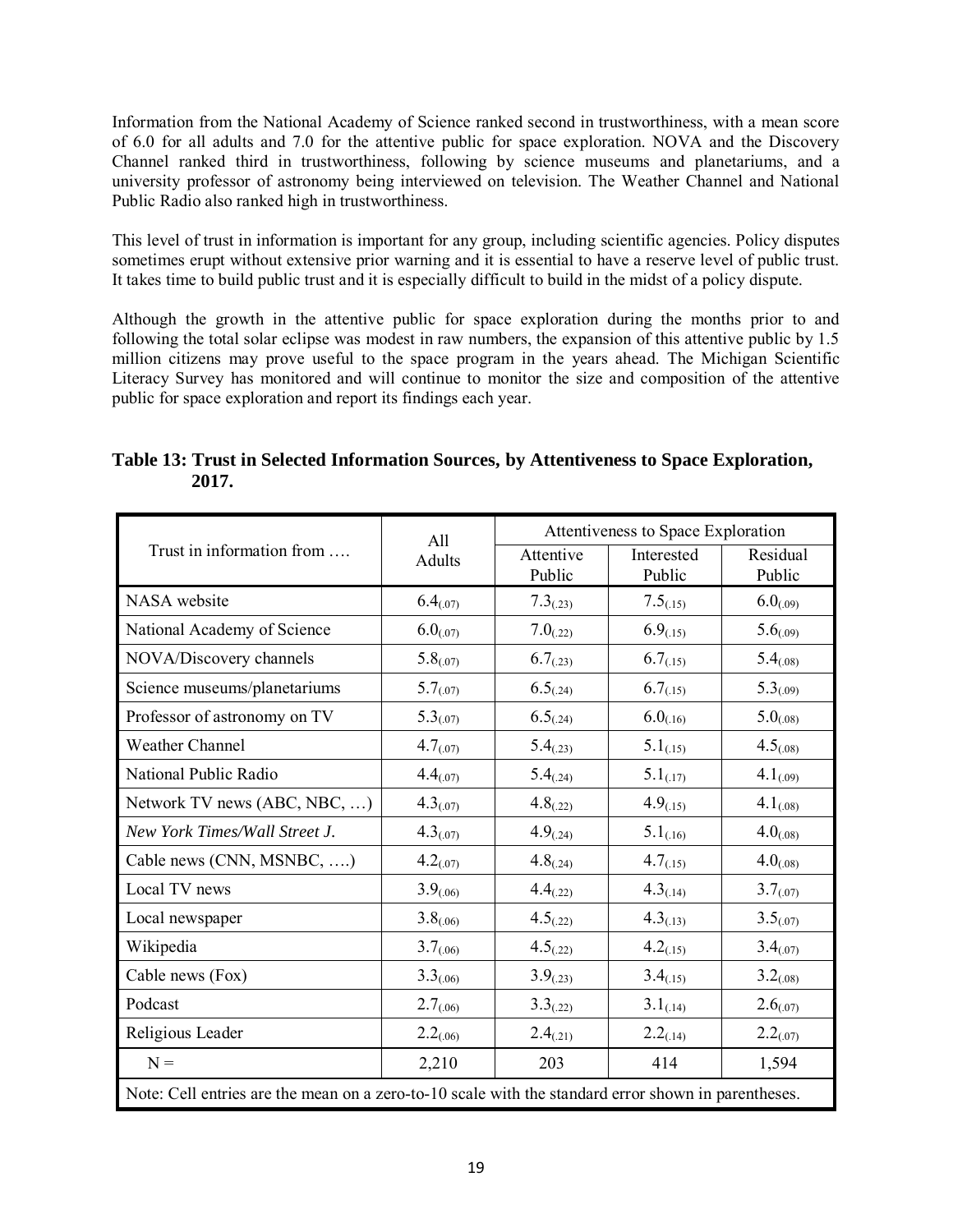Information from the National Academy of Science ranked second in trustworthiness, with a mean score of 6.0 for all adults and 7.0 for the attentive public for space exploration. NOVA and the Discovery Channel ranked third in trustworthiness, following by science museums and planetariums, and a university professor of astronomy being interviewed on television. The Weather Channel and National Public Radio also ranked high in trustworthiness.

This level of trust in information is important for any group, including scientific agencies. Policy disputes sometimes erupt without extensive prior warning and it is essential to have a reserve level of public trust. It takes time to build public trust and it is especially difficult to build in the midst of a policy dispute.

Although the growth in the attentive public for space exploration during the months prior to and following the total solar eclipse was modest in raw numbers, the expansion of this attentive public by 1.5 million citizens may prove useful to the space program in the years ahead. The Michigan Scientific Literacy Survey has monitored and will continue to monitor the size and composition of the attentive public for space exploration and report its findings each year.

|                                                                                                     | All            | Attentiveness to Space Exploration |                      |                    |  |  |
|-----------------------------------------------------------------------------------------------------|----------------|------------------------------------|----------------------|--------------------|--|--|
| Trust in information from                                                                           | <b>Adults</b>  | Attentive<br>Public                | Interested<br>Public | Residual<br>Public |  |  |
| NASA website                                                                                        | $6.4_{(07)}$   | $7.3_{(0.23)}$                     | $7.5_{(0.15)}$       | $6.0_{(0.09)}$     |  |  |
| National Academy of Science                                                                         | $6.0_{(07)}$   | $7.0_{(0.22)}$                     | 6.9(15)              | 5.6(0.09)          |  |  |
| NOVA/Discovery channels                                                                             | 5.8(0.07)      | $6.7_{(0.23)}$                     | 6.7(15)              | $5.4_{(08)}$       |  |  |
| Science museums/planetariums                                                                        | $5.7_{(07)}$   | $6.5_{(0.24)}$                     | $6.7_{(15)}$         | 5.3(0.09)          |  |  |
| Professor of astronomy on TV                                                                        | 5.3(007)       | 6.5(0.24)                          | $6.0_{(.16)}$        | $5.0_{(08)}$       |  |  |
| <b>Weather Channel</b>                                                                              | 4.7(07)        | $5.4_{(0.23)}$                     | $5.1_{(.15)}$        | $4.5_{(0.08)}$     |  |  |
| National Public Radio                                                                               | $4.4_{(07)}$   | $5.4_{(0.24)}$                     | $5.1_{(0.17)}$       | $4.1_{(0.09)}$     |  |  |
| Network TV news (ABC, NBC, )                                                                        | 4.3(07)        | 4.8(22)                            | 4.9(15)              | $4.1_{(08)}$       |  |  |
| New York Times/Wall Street J.                                                                       | $4.3_{(07)}$   | $4.9_{(0.24)}$                     | $5.1_{(0.16)}$       | $4.0_{(08)}$       |  |  |
| Cable news (CNN, MSNBC, )                                                                           | 4.2(07)        | $4.8_{(0.24)}$                     | $4.7_{(15)}$         | $4.0_{(0.08)}$     |  |  |
| Local TV news                                                                                       | 3.9(0.06)      | 4.4(22)                            | 4.3(14)              | 3.7(07)            |  |  |
| Local newspaper                                                                                     | $3.8_{(0.06)}$ | $4.5_{(.22)}$                      | 4.3(13)              | 3.5(0.07)          |  |  |
| Wikipedia                                                                                           | 3.7(06)        | 4.5(22)                            | 4.2(15)              | 3.4(07)            |  |  |
| Cable news (Fox)                                                                                    | $3.3_{(0.06)}$ | $3.9_{(0.23)}$                     | $3.4_{(0.15)}$       | $3.2_{(0.08)}$     |  |  |
| Podcast                                                                                             | 2.7(06)        | $3.3_{(0.22)}$                     | $3.1_{(0.14)}$       | 2.6(07)            |  |  |
| Religious Leader                                                                                    | 2.2(06)        | 2.4(21)                            | 2.2(14)              | 2.2(07)            |  |  |
| $N =$                                                                                               | 2,210          | 203                                | 414                  | 1,594              |  |  |
| Note: Cell entries are the mean on a zero-to-10 scale with the standard error shown in parentheses. |                |                                    |                      |                    |  |  |

**Table 13: Trust in Selected Information Sources, by Attentiveness to Space Exploration, 2017.**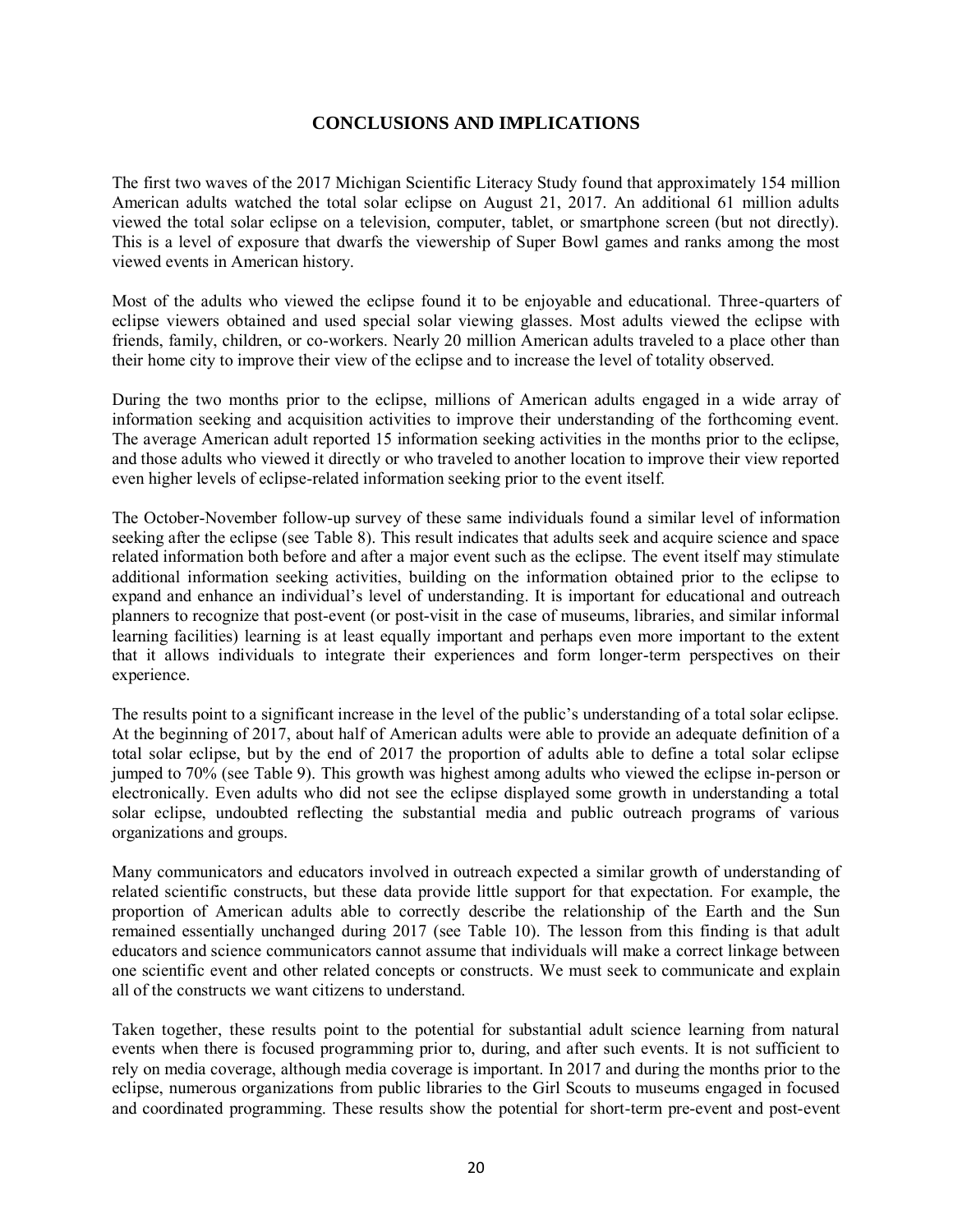### **CONCLUSIONS AND IMPLICATIONS**

The first two waves of the 2017 Michigan Scientific Literacy Study found that approximately 154 million American adults watched the total solar eclipse on August 21, 2017. An additional 61 million adults viewed the total solar eclipse on a television, computer, tablet, or smartphone screen (but not directly). This is a level of exposure that dwarfs the viewership of Super Bowl games and ranks among the most viewed events in American history.

Most of the adults who viewed the eclipse found it to be enjoyable and educational. Three-quarters of eclipse viewers obtained and used special solar viewing glasses. Most adults viewed the eclipse with friends, family, children, or co-workers. Nearly 20 million American adults traveled to a place other than their home city to improve their view of the eclipse and to increase the level of totality observed.

During the two months prior to the eclipse, millions of American adults engaged in a wide array of information seeking and acquisition activities to improve their understanding of the forthcoming event. The average American adult reported 15 information seeking activities in the months prior to the eclipse, and those adults who viewed it directly or who traveled to another location to improve their view reported even higher levels of eclipse-related information seeking prior to the event itself.

The October-November follow-up survey of these same individuals found a similar level of information seeking after the eclipse (see Table 8). This result indicates that adults seek and acquire science and space related information both before and after a major event such as the eclipse. The event itself may stimulate additional information seeking activities, building on the information obtained prior to the eclipse to expand and enhance an individual's level of understanding. It is important for educational and outreach planners to recognize that post-event (or post-visit in the case of museums, libraries, and similar informal learning facilities) learning is at least equally important and perhaps even more important to the extent that it allows individuals to integrate their experiences and form longer-term perspectives on their experience.

The results point to a significant increase in the level of the public's understanding of a total solar eclipse. At the beginning of 2017, about half of American adults were able to provide an adequate definition of a total solar eclipse, but by the end of 2017 the proportion of adults able to define a total solar eclipse jumped to 70% (see Table 9). This growth was highest among adults who viewed the eclipse in-person or electronically. Even adults who did not see the eclipse displayed some growth in understanding a total solar eclipse, undoubted reflecting the substantial media and public outreach programs of various organizations and groups.

Many communicators and educators involved in outreach expected a similar growth of understanding of related scientific constructs, but these data provide little support for that expectation. For example, the proportion of American adults able to correctly describe the relationship of the Earth and the Sun remained essentially unchanged during 2017 (see Table 10). The lesson from this finding is that adult educators and science communicators cannot assume that individuals will make a correct linkage between one scientific event and other related concepts or constructs. We must seek to communicate and explain all of the constructs we want citizens to understand.

Taken together, these results point to the potential for substantial adult science learning from natural events when there is focused programming prior to, during, and after such events. It is not sufficient to rely on media coverage, although media coverage is important. In 2017 and during the months prior to the eclipse, numerous organizations from public libraries to the Girl Scouts to museums engaged in focused and coordinated programming. These results show the potential for short-term pre-event and post-event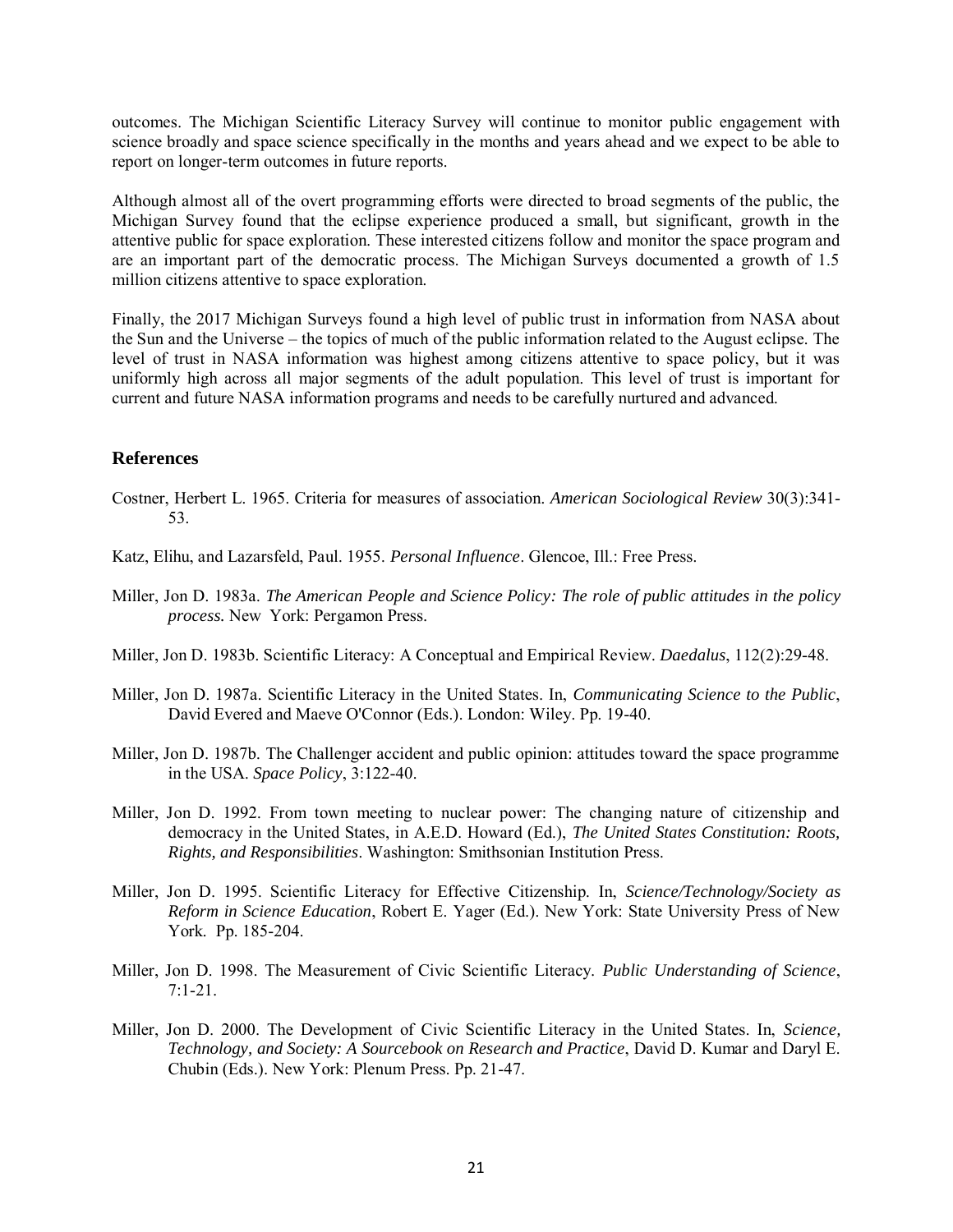outcomes. The Michigan Scientific Literacy Survey will continue to monitor public engagement with science broadly and space science specifically in the months and years ahead and we expect to be able to report on longer-term outcomes in future reports.

Although almost all of the overt programming efforts were directed to broad segments of the public, the Michigan Survey found that the eclipse experience produced a small, but significant, growth in the attentive public for space exploration. These interested citizens follow and monitor the space program and are an important part of the democratic process. The Michigan Surveys documented a growth of 1.5 million citizens attentive to space exploration.

Finally, the 2017 Michigan Surveys found a high level of public trust in information from NASA about the Sun and the Universe – the topics of much of the public information related to the August eclipse. The level of trust in NASA information was highest among citizens attentive to space policy, but it was uniformly high across all major segments of the adult population. This level of trust is important for current and future NASA information programs and needs to be carefully nurtured and advanced.

#### **References**

- Costner, Herbert L. 1965. Criteria for measures of association. *American Sociological Review* 30(3):341- 53.
- Katz, Elihu, and Lazarsfeld, Paul. 1955. *Personal Influence*. Glencoe, Ill.: Free Press.
- Miller, Jon D. 1983a. *The American People and Science Policy: The role of public attitudes in the policy process.* New York: Pergamon Press.
- Miller, Jon D. 1983b. Scientific Literacy: A Conceptual and Empirical Review. *Daedalus*, 112(2):29-48.
- Miller, Jon D. 1987a. Scientific Literacy in the United States. In, *Communicating Science to the Public*, David Evered and Maeve O'Connor (Eds.). London: Wiley. Pp. 19-40.
- Miller, Jon D. 1987b. The Challenger accident and public opinion: attitudes toward the space programme in the USA. *Space Policy*, 3:122-40.
- Miller, Jon D. 1992. From town meeting to nuclear power: The changing nature of citizenship and democracy in the United States, in A.E.D. Howard (Ed.), *The United States Constitution: Roots, Rights, and Responsibilities*. Washington: Smithsonian Institution Press.
- Miller, Jon D. 1995. Scientific Literacy for Effective Citizenship. In, *Science/Technology/Society as Reform in Science Education*, Robert E. Yager (Ed.). New York: State University Press of New York. Pp. 185-204.
- Miller, Jon D. 1998. The Measurement of Civic Scientific Literacy. *Public Understanding of Science*,  $7:1-21$ .
- Miller, Jon D. 2000. The Development of Civic Scientific Literacy in the United States. In, *Science, Technology, and Society: A Sourcebook on Research and Practice*, David D. Kumar and Daryl E. Chubin (Eds.). New York: Plenum Press. Pp. 21-47.